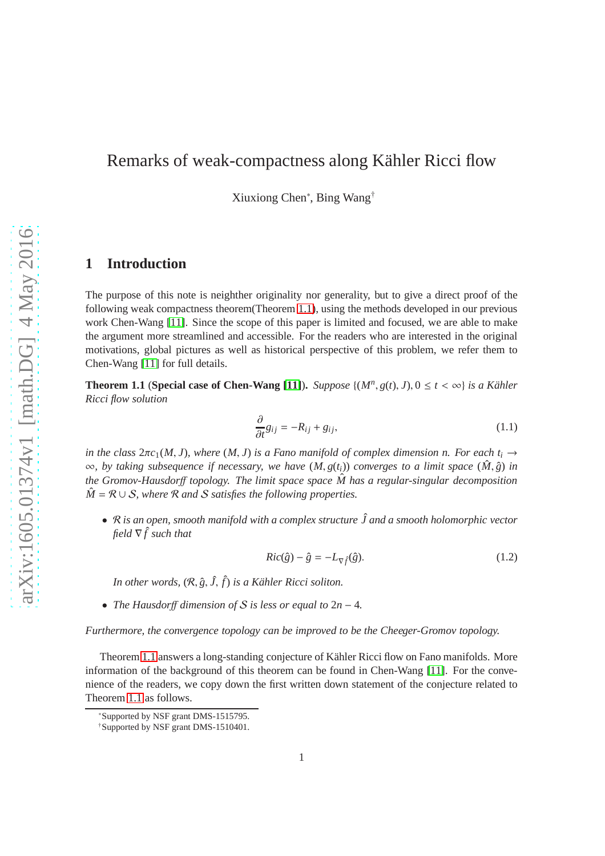# Remarks of weak-compactness along Kähler Ricci flow

Xiuxiong Chen<sup>∗</sup> , Bing Wang†

## **1 Introduction**

The purpose of this note is neighther originality nor generality, but to give a direct proof of the following weak compactness theorem(Theorem [1.1\)](#page-0-0), using the methods developed in our previous work Chen-Wang [\[11\]](#page-28-0). Since the scope of this paper is limited and focused, we are able to make the argument more streamlined and accessible. For the readers who are interested in the original motivations, global pictures as well as historical perspective of this problem, we refer them to Chen-Wang [\[11\]](#page-28-0) for full details.

**Theorem 1.1** (**Special case of Chen-Wang** [\[11\]](#page-28-0)). *Suppose*  $\{(M^n, g(t), J), 0 \le t < \infty\}$  *is a Kähler Ricci flow solution*

<span id="page-0-2"></span>
$$
\frac{\partial}{\partial t}g_{ij} = -R_{ij} + g_{ij},\tag{1.1}
$$

*in the class*  $2\pi c_1(M, J)$ *, where*  $(M, J)$  *is a Fano manifold of complex dimension n. For each*  $t_i \rightarrow$ <sup>∞</sup>*, by taking subsequence if necessary, we have* (*M*, *<sup>g</sup>*(*ti*)) *converges to a limit space* (*M*<sup>ˆ</sup> , *<sup>g</sup>*ˆ) *in the Gromov-Hausdorff topology. The limit space space*  $\hat{M}$  *has a regular-singular decomposition*  $\hat{M} = \mathcal{R} \cup \mathcal{S}$ , where  $\mathcal{R}$  and  $\mathcal{S}$  satisfies the following properties.

• R *is an open, smooth manifold with a complex structure J and a smooth holomorphic vector* <sup>ˆ</sup> *field*  $\nabla \hat{f}$  *such that* 

<span id="page-0-0"></span>
$$
Ric(\hat{g}) - \hat{g} = -L_{\nabla \hat{f}}(\hat{g}).\tag{1.2}
$$

*In other words,* (R, *<sup>g</sup>*ˆ, *<sup>J</sup>*ˆ, ˆ*f*) *is a K¨ahler Ricci soliton.*

• *The Hausdor*ff *dimension of* S *is less or equal to* 2*n* − 4*.*

*Furthermore, the convergence topology can be improved to be the Cheeger-Gromov topology.*

Theorem [1.1](#page-0-0) answers a long-standing conjecture of Kähler Ricci flow on Fano manifolds. More information of the background of this theorem can be found in Chen-Wang [\[11\]](#page-28-0). For the convenience of the readers, we copy down the first written down statement of the conjecture related to Theorem [1.1](#page-0-0) as follows.

<span id="page-0-1"></span><sup>∗</sup>Supported by NSF grant DMS-1515795.

<sup>†</sup>Supported by NSF grant DMS-1510401.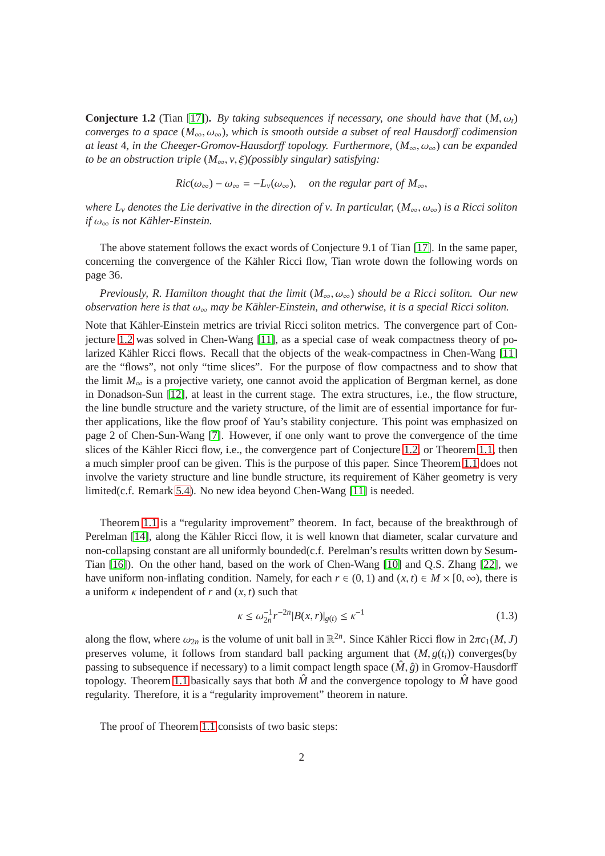**Conjecture 1.2** (Tian [\[17\]](#page-28-1)). By taking subsequences if necessary, one should have that  $(M, \omega_t)$ *converges to a space* ( $M_{\infty}, \omega_{\infty}$ ), which is smooth outside a subset of real Hausdorff codimension *at least* 4*, in the Cheeger-Gromov-Hausdor*ff *topology. Furthermore,* (*M*∞, ω∞) *can be expanded to be an obstruction triple*  $(M_{\infty}, v, \xi)$ *(possibly singular) satisfying:* 

 $Ric(\omega_{\infty}) - \omega_{\infty} = -L_v(\omega_{\infty}),$  *on the regular part of*  $M_{\infty}$ ,

*where L<sub>v</sub> denotes the Lie derivative in the direction of v. In particular,*  $(M_{\infty}, \omega_{\infty})$  *is a Ricci soliton if*  $\omega_{\infty}$  *is not Kähler-Einstein.* 

The above statement follows the exact words of Conjecture 9.1 of Tian [\[17\]](#page-28-1). In the same paper, concerning the convergence of the Kähler Ricci flow, Tian wrote down the following words on page 36.

*Previously, R. Hamilton thought that the limit* (*M*∞, ω∞) *should be a Ricci soliton. Our new observation here is that* ω<sub>∞</sub> *may be Kähler-Einstein, and otherwise, it is a special Ricci soliton.* 

Note that Kähler-Einstein metrics are trivial Ricci soliton metrics. The convergence part of Conjecture [1.2](#page-0-1) was solved in Chen-Wang [\[11\]](#page-28-0), as a special case of weak compactness theory of po-larized Kähler Ricci flows. Recall that the objects of the weak-compactness in Chen-Wang [\[11\]](#page-28-0) are the "flows", not only "time slices". For the purpose of flow compactness and to show that the limit  $M_{\infty}$  is a projective variety, one cannot avoid the application of Bergman kernel, as done in Donadson-Sun [\[12\]](#page-28-2), at least in the current stage. The extra structures, i.e., the flow structure, the line bundle structure and the variety structure, of the limit are of essential importance for further applications, like the flow proof of Yau's stability conjecture. This point was emphasized on page 2 of Chen-Sun-Wang [\[7\]](#page-27-0). However, if one only want to prove the convergence of the time slices of the Kähler Ricci flow, i.e., the convergence part of Conjecture [1.2,](#page-0-1) or Theorem [1.1,](#page-0-0) then a much simpler proof can be given. This is the purpose of this paper. Since Theorem [1.1](#page-0-0) does not involve the variety structure and line bundle structure, its requirement of Käher geometry is very limited(c.f. Remark [5.4\)](#page-26-0). No new idea beyond Chen-Wang [\[11\]](#page-28-0) is needed.

Theorem [1.1](#page-0-0) is a "regularity improvement" theorem. In fact, because of the breakthrough of Perelman [\[14\]](#page-28-3), along the Kähler Ricci flow, it is well known that diameter, scalar curvature and non-collapsing constant are all uniformly bounded(c.f. Perelman's results written down by Sesum-Tian [\[16\]](#page-28-4)). On the other hand, based on the work of Chen-Wang [\[10\]](#page-27-1) and Q.S. Zhang [\[22\]](#page-28-5), we have uniform non-inflating condition. Namely, for each  $r \in (0, 1)$  and  $(x, t) \in M \times [0, \infty)$ , there is a uniform  $\kappa$  independent of  $r$  and  $(x, t)$  such that

$$
\kappa \le \omega_{2n}^{-1} r^{-2n} |B(x, r)|_{g(t)} \le \kappa^{-1}
$$
\n(1.3)

along the flow, where  $\omega_{2n}$  is the volume of unit ball in  $\mathbb{R}^{2n}$ . Since Kähler Ricci flow in  $2\pi c_1(M, J)$ preserves volume, it follows from standard ball packing argument that  $(M, g(t_i))$  converges(by passing to subsequence if necessary) to a limit compact length space  $(\hat{M}, \hat{g})$  in Gromov-Hausdorff topology. Theorem [1.1](#page-0-0) basically says that both  $\hat{M}$  and the convergence topology to  $\hat{M}$  have good regularity. Therefore, it is a "regularity improvement" theorem in nature.

The proof of Theorem [1.1](#page-0-0) consists of two basic steps: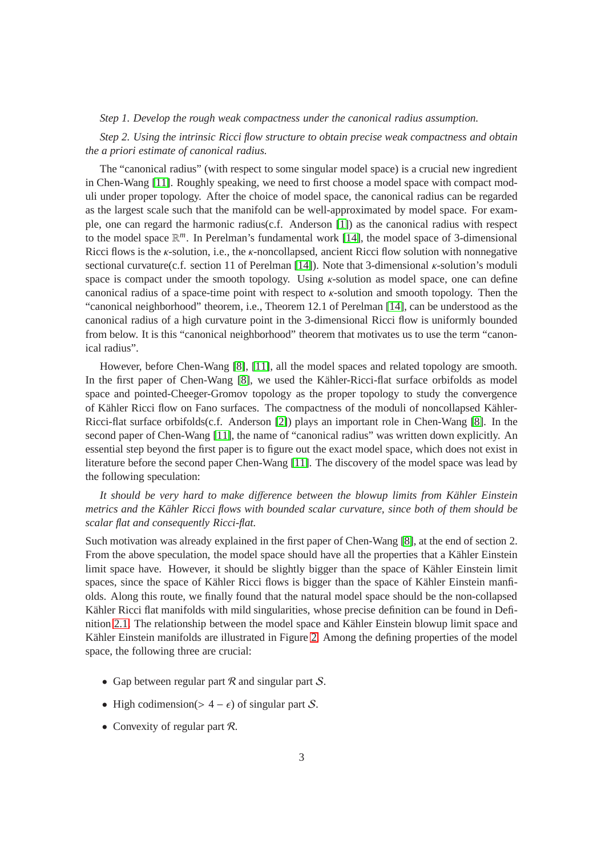#### *Step 1. Develop the rough weak compactness under the canonical radius assumption.*

*Step 2. Using the intrinsic Ricci flow structure to obtain precise weak compactness and obtain the a priori estimate of canonical radius.*

The "canonical radius" (with respect to some singular model space) is a crucial new ingredient in Chen-Wang [\[11\]](#page-28-0). Roughly speaking, we need to first choose a model space with compact moduli under proper topology. After the choice of model space, the canonical radius can be regarded as the largest scale such that the manifold can be well-approximated by model space. For example, one can regard the harmonic radius(c.f. Anderson [\[1\]](#page-27-2)) as the canonical radius with respect to the model space R *<sup>m</sup>*. In Perelman's fundamental work [\[14\]](#page-28-3), the model space of 3-dimensional Ricci flows is the  $\kappa$ -solution, i.e., the  $\kappa$ -noncollapsed, ancient Ricci flow solution with nonnegative sectional curvature(c.f. section 11 of Perelman [\[14\]](#page-28-3)). Note that 3-dimensional κ-solution's moduli space is compact under the smooth topology. Using  $\kappa$ -solution as model space, one can define canonical radius of a space-time point with respect to  $\kappa$ -solution and smooth topology. Then the "canonical neighborhood" theorem, i.e., Theorem 12.1 of Perelman [\[14\]](#page-28-3), can be understood as the canonical radius of a high curvature point in the 3-dimensional Ricci flow is uniformly bounded from below. It is this "canonical neighborhood" theorem that motivates us to use the term "canonical radius".

However, before Chen-Wang [\[8\]](#page-27-3), [\[11\]](#page-28-0), all the model spaces and related topology are smooth. In the first paper of Chen-Wang [\[8\]](#page-27-3), we used the Kähler-Ricci-flat surface orbifolds as model space and pointed-Cheeger-Gromov topology as the proper topology to study the convergence of Kähler Ricci flow on Fano surfaces. The compactness of the moduli of noncollapsed Kähler-Ricci-flat surface orbifolds(c.f. Anderson [\[2\]](#page-27-4)) plays an important role in Chen-Wang [\[8\]](#page-27-3). In the second paper of Chen-Wang [\[11\]](#page-28-0), the name of "canonical radius" was written down explicitly. An essential step beyond the first paper is to figure out the exact model space, which does not exist in literature before the second paper Chen-Wang [\[11\]](#page-28-0). The discovery of the model space was lead by the following speculation:

It should be very hard to make difference between the blowup limits from Kähler Einstein *metrics and the Kähler Ricci flows with bounded scalar curvature, since both of them should be scalar flat and consequently Ricci-flat.*

Such motivation was already explained in the first paper of Chen-Wang [\[8\]](#page-27-3), at the end of section 2. From the above speculation, the model space should have all the properties that a Kähler Einstein limit space have. However, it should be slightly bigger than the space of Kähler Einstein limit spaces, since the space of Kähler Ricci flows is bigger than the space of Kähler Einstein manfiolds. Along this route, we finally found that the natural model space should be the non-collapsed Kähler Ricci flat manifolds with mild singularities, whose precise definition can be found in Defi-nition [2.1.](#page-5-0) The relationship between the model space and Kähler Einstein blowup limit space and Kähler Einstein manifolds are illustrated in Figure [2.](#page-4-0) Among the defining properties of the model space, the following three are crucial:

- Gap between regular part  $R$  and singular part  $S$ .
- High codimension(>  $4 \epsilon$ ) of singular part S.
- Convexity of regular part  $\mathcal{R}$ .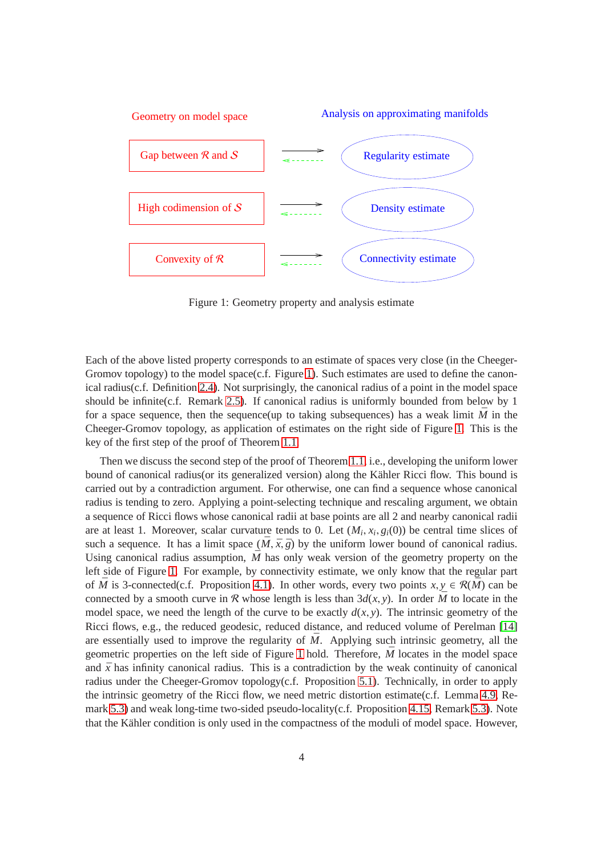

<span id="page-3-0"></span>Figure 1: Geometry property and analysis estimate

Each of the above listed property corresponds to an estimate of spaces very close (in the Cheeger-Gromov topology) to the model space(c.f. Figure [1\)](#page-3-0). Such estimates are used to define the canonical radius(c.f. Definition [2.4\)](#page-6-0). Not surprisingly, the canonical radius of a point in the model space should be infinite(c.f. Remark [2.5\)](#page-6-1). If canonical radius is uniformly bounded from below by 1 for a space sequence, then the sequence(up to taking subsequences) has a weak limit  $\overline{M}$  in the Cheeger-Gromov topology, as application of estimates on the right side of Figure [1.](#page-3-0) This is the key of the first step of the proof of Theorem [1.1.](#page-0-0)

Then we discuss the second step of the proof of Theorem [1.1,](#page-0-0) i.e., developing the uniform lower bound of canonical radius (or its generalized version) along the Kähler Ricci flow. This bound is carried out by a contradiction argument. For otherwise, one can find a sequence whose canonical radius is tending to zero. Applying a point-selecting technique and rescaling argument, we obtain a sequence of Ricci flows whose canonical radii at base points are all 2 and nearby canonical radii are at least 1. Moreover, scalar curvature tends to 0. Let  $(M_i, x_i, g_i(0))$  be central time slices of such a sequence. It has a limit space  $(\bar{M}, \bar{x}, \bar{g})$  by the uniform lower bound of canonical radius. Using canonical radius assumption,  $\bar{M}$  has only weak version of the geometry property on the left side of Figure [1.](#page-3-0) For example, by connectivity estimate, we only know that the regular part of  $\overline{M}$  is 3-connected(c.f. Proposition [4.1\)](#page-10-0). In other words, every two points  $x, y \in \mathcal{R}(\overline{M})$  can be connected by a smooth curve in R whose length is less than  $3d(x, y)$ . In order  $\overline{M}$  to locate in the model space, we need the length of the curve to be exactly  $d(x, y)$ . The intrinsic geometry of the Ricci flows, e.g., the reduced geodesic, reduced distance, and reduced volume of Perelman [\[14\]](#page-28-3) are essentially used to improve the regularity of  $\overline{M}$ . Applying such intrinsic geometry, all the geometric properties on the left side of Figure [1](#page-3-0) hold. Therefore,  $\overline{M}$  locates in the model space and  $\bar{x}$  has infinity canonical radius. This is a contradiction by the weak continuity of canonical radius under the Cheeger-Gromov topology(c.f. Proposition [5.1\)](#page-24-0). Technically, in order to apply the intrinsic geometry of the Ricci flow, we need metric distortion estimate(c.f. Lemma [4.9,](#page-14-0) Remark [5.3\)](#page-26-1) and weak long-time two-sided pseudo-locality(c.f. Proposition [4.15,](#page-21-0) Remark [5.3\)](#page-26-1). Note that the Kähler condition is only used in the compactness of the moduli of model space. However,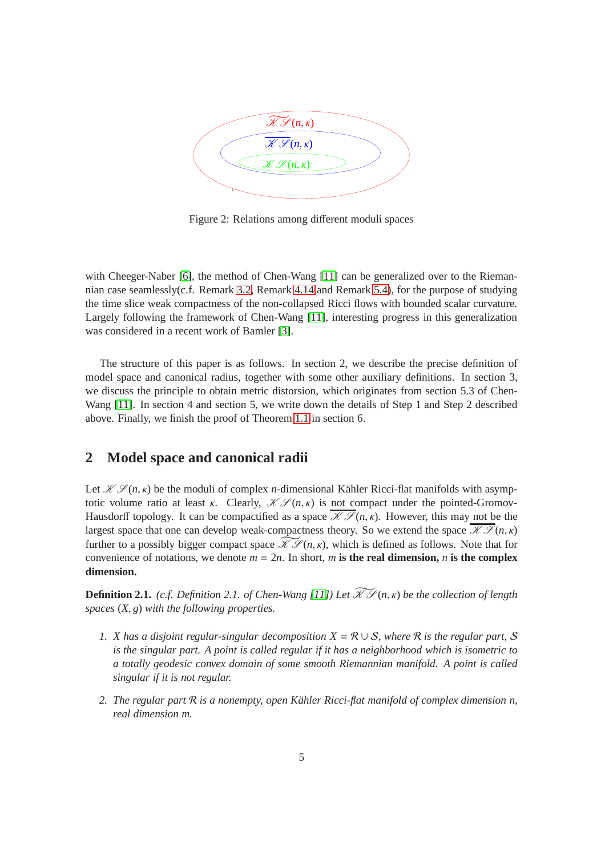

<span id="page-4-0"></span>Figure 2: Relations among different moduli spaces

with Cheeger-Naber [\[6\]](#page-27-5), the method of Chen-Wang [\[11\]](#page-28-0) can be generalized over to the Riemannian case seamlessly(c.f. Remark [3.2,](#page-8-0) Remark [4.14](#page-21-1) and Remark [5.4\)](#page-26-0), for the purpose of studying the time slice weak compactness of the non-collapsed Ricci flows with bounded scalar curvature. Largely following the framework of Chen-Wang [\[11\]](#page-28-0), interesting progress in this generalization was considered in a recent work of Bamler [\[3\]](#page-27-6).

The structure of this paper is as follows. In section 2, we describe the precise definition of model space and canonical radius, together with some other auxiliary definitions. In section 3, we discuss the principle to obtain metric distorsion, which originates from section 5.3 of Chen-Wang [\[11\]](#page-28-0). In section 4 and section 5, we write down the details of Step 1 and Step 2 described above. Finally, we finish the proof of Theorem [1.1](#page-0-0) in section 6.

## **2 Model space and canonical radii**

Let  $K \mathscr{L}(n, \kappa)$  be the moduli of complex *n*-dimensional Kähler Ricci-flat manifolds with asymptotic volume ratio at least κ. Clearly,  $\mathcal{K} \mathcal{S}(n, \kappa)$  is not compact under the pointed-Gromov-Hausdorff topology. It can be compactified as a space  $\mathcal{K} \mathcal{S}(n, \kappa)$ . However, this may not be the largest space that one can develop weak-compactness theory. So we extend the space  $\overline{\mathcal{KS}}(n,\kappa)$ further to a possibly bigger compact space  $\mathcal{H}^{\mathcal{S}}(n, \kappa)$ , which is defined as follows. Note that for convenience of notations, we denote  $m = 2n$ . In short, *m* is the real dimension, *n* is the complex **dimension.**

**Definition 2.1.** *(c.f. Definition 2.1. of Chen-Wang [\[11\]](#page-28-0)) Let*  $\widetilde{\mathcal{KS}}(n,\kappa)$  *be the collection of length spaces* (*X*, *g*) *with the following properties.*

- *1. X has a disjoint regular-singular decomposition X* = R ∪ S*, where* R *is the regular part,* S *is the singular part. A point is called regular if it has a neighborhood which is isometric to a totally geodesic convex domain of some smooth Riemannian manifold. A point is called singular if it is not regular.*
- *2. The regular part* R *is a nonempty, open K¨ahler Ricci-flat manifold of complex dimension n, real dimension m.*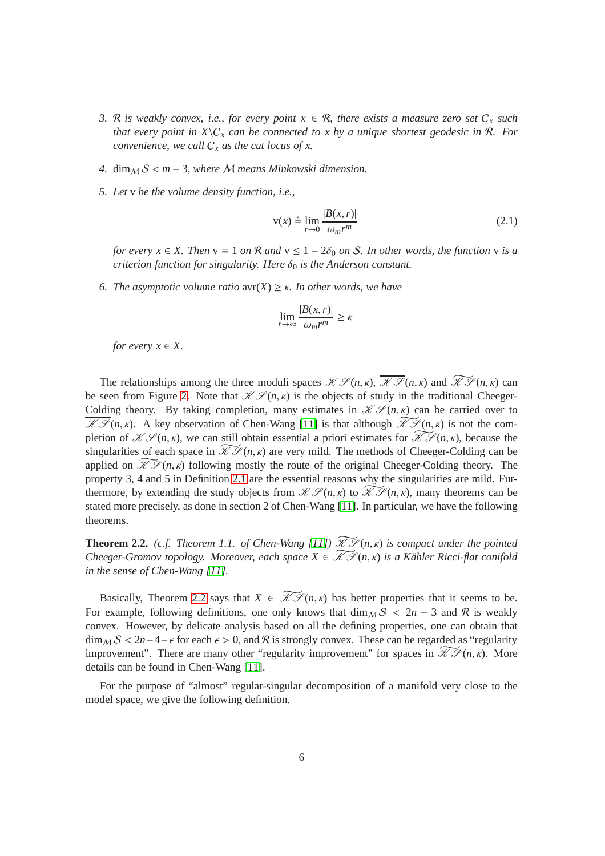- *3.* R is weakly convex, i.e., for every point  $x \in \mathcal{R}$ , there exists a measure zero set  $C_x$  such *that every point in*  $X \setminus C_x$  *can be connected to x by a unique shortest geodesic in* R. For *convenience, we call*  $C_x$  *as the cut locus of x.*
- *4.* dim  $\Delta S$  < *m* − 3*, where M means Minkowski dimension.*
- *5. Let* v *be the volume density function, i.e.,*

$$
v(x) \triangleq \lim_{r \to 0} \frac{|B(x, r)|}{\omega_m r^m}
$$
 (2.1)

*for every*  $x \in X$ *. Then*  $v \equiv 1$  *on*  $\mathcal{R}$  *and*  $v \le 1 - 2\delta_0$  *on*  $S$ *. In other words, the function*  $v$  *is a criterion function for singularity. Here*  $\delta_0$  *is the Anderson constant.* 

<span id="page-5-0"></span>*6. The asymptotic volume ratio* avr(*X*) ≥ κ*. In other words, we have*

$$
\lim_{r \to \infty} \frac{|B(x, r)|}{\omega_m r^m} \ge \kappa
$$

*for every*  $x \in X$ .

The relationships among the three moduli spaces  $\mathcal{K} \mathcal{S}(n, \kappa)$ ,  $\overline{\mathcal{K} \mathcal{S}}(n, \kappa)$  and  $\widetilde{\mathcal{K} \mathcal{S}}(n, \kappa)$  can be seen from Figure [2.](#page-4-0) Note that  $\mathcal{K} \mathcal{S} (n, \kappa)$  is the objects of study in the traditional Cheeger-Colding theory. By taking completion, many estimates in  $\mathcal{K} \mathcal{S}(n, \kappa)$  can be carried over to  $\mathcal{H} \mathcal{F}(n, \kappa)$ . A key observation of Chen-Wang [\[11\]](#page-28-0) is that although  $\mathcal{H} \mathcal{F}(n, \kappa)$  is not the completion of  $\mathscr{K}(\mathscr{S}(n,\kappa))$ , we can still obtain essential a priori estimates for  $\widetilde{\mathscr{K}}(\mathscr{S}(n,\kappa))$ , because the singularities of each space in  $\widetilde{\mathcal{H}}\mathcal{S}(n,\kappa)$  are very mild. The methods of Cheeger-Colding can be applied on  $\widetilde{\mathcal{H}}\mathcal{S}(n,\kappa)$  following mostly the route of the original Cheeger-Colding theory. The property 3, 4 and 5 in Definition [2.1](#page-5-0) are the essential reasons why the singularities are mild. Furthermore, by extending the study objects from  $\mathcal{K} \mathcal{S}(n, \kappa)$  to  $\widetilde{\mathcal{K} \mathcal{S}}(n, \kappa)$ , many theorems can be stated more precisely, as done in section 2 of Chen-Wang [\[11\]](#page-28-0). In particular, we have the following theorems.

<span id="page-5-1"></span>**Theorem 2.2.** *(c.f. Theorem 1.1. of Chen-Wang [\[11\]](#page-28-0))*  $\widetilde{\mathcal{KS}}(n, \kappa)$  *is compact under the pointed Cheeger-Gromov topology. Moreover, each space*  $X \in \widetilde{\mathcal{X}}\mathcal{S}(n,\kappa)$  *is a Kähler Ricci-flat conifold in the sense of Chen-Wang [\[11\]](#page-28-0).*

Basically, Theorem [2.2](#page-5-1) says that  $X \in \widetilde{\mathcal{H}}\mathcal{S}(n,\kappa)$  has better properties that it seems to be. For example, following definitions, one only knows that  $\dim_M S < 2n - 3$  and R is weakly convex. However, by delicate analysis based on all the defining properties, one can obtain that  $\dim_M S < 2n-4-\epsilon$  for each  $\epsilon > 0$ , and R is strongly convex. These can be regarded as "regularity" improvement". There are many other "regularity improvement" for spaces in  $\mathcal{H}\mathcal{S}(n,\kappa)$ . More details can be found in Chen-Wang [\[11\]](#page-28-0).

<span id="page-5-2"></span>For the purpose of "almost" regular-singular decomposition of a manifold very close to the model space, we give the following definition.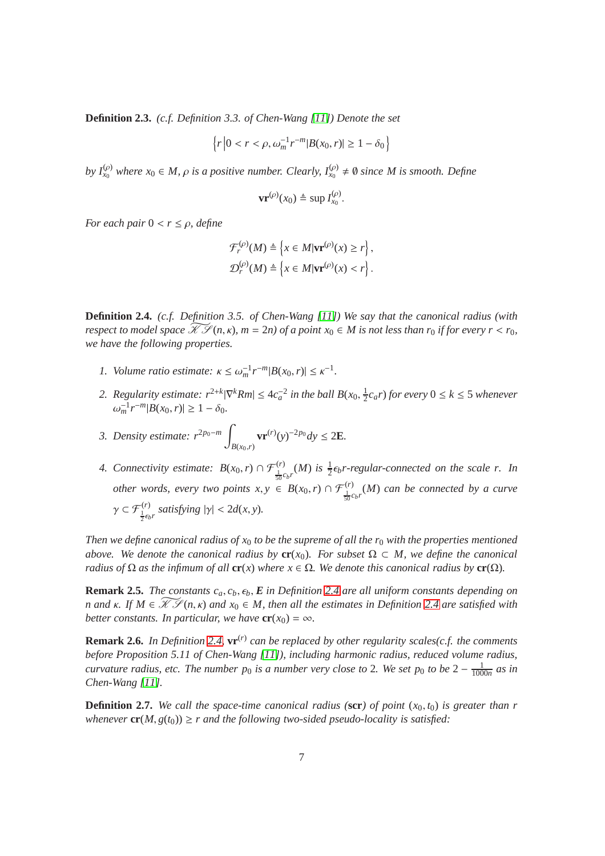**Definition 2.3.** *(c.f. Definition 3.3. of Chen-Wang [\[11\]](#page-28-0)) Denote the set*

$$
\left\{r \left|0 < r < \rho, \omega_m^{-1} r^{-m} |B(x_0, r)| \ge 1 - \delta_0\right.\right\}
$$

*by*  $I_{x_0}^{(\rho)}$  where  $x_0 \in M$ ,  $\rho$  *is a positive number. Clearly,*  $I_{x_0}^{(\rho)} \neq \emptyset$  *since M is smooth. Define* 

$$
\mathbf{v}\mathbf{r}^{(\rho)}(x_0) \triangleq \sup I_{x_0}^{(\rho)}.
$$

*For each pair*  $0 < r \le \rho$ *, define* 

$$
\mathcal{F}_r^{(\rho)}(M) \triangleq \left\{ x \in M | \mathbf{v} \mathbf{r}^{(\rho)}(x) \ge r \right\},
$$
  

$$
\mathcal{D}_r^{(\rho)}(M) \triangleq \left\{ x \in M | \mathbf{v} \mathbf{r}^{(\rho)}(x) < r \right\}.
$$

**Definition 2.4.** *(c.f. Definition 3.5. of Chen-Wang [\[11\]](#page-28-0)) We say that the canonical radius (with respect to model space*  $\widetilde{\mathcal{X}}\mathcal{S}(n,\kappa)$ ,  $m=2n$ ) of a point  $x_0 \in M$  is not less than  $r_0$  if for every  $r < r_0$ . *we have the following properties.*

- *1. Volume ratio estimate:*  $\kappa \le \omega_m^{-1} r^{-m} |B(x_0, r)| \le \kappa^{-1}$ *.*
- 2. Regularity estimate:  $r^{2+k} |\nabla^k Rm| \leq 4c_a^{-2}$  in the ball  $B(x_0, \frac{1}{2})$  $\frac{1}{2}c_a r$ ) for every  $0 \leq k \leq 5$  whenever  $\omega_m^{-1} r^{-m} |B(x_0, r)| \geq 1 - \delta_0.$

*3. Density estimate:*  $r^{2p_0-m}$  | *B*(*x*0,*r*) **vr**<sup>(*r*)</sup>(*y*)<sup>−2*p*<sub>0</sub></sup> $dy$  ≤ 2**E***.* 

<span id="page-6-0"></span>*4. Connectivity estimate:*  $B(x_0, r) \cap \mathcal{F}_{\frac{1}{50}c_b r}^{(r)}(M)$  *is*  $\frac{1}{2} \epsilon_b r$ -regular-connected on the scale r. In *other words, every two points*  $x, y \in B(x_0, r) \cap \mathcal{F}^{(r)}_{\frac{1}{50}c_b r}(M)$  *can be connected by a curve*  $\gamma \subset \mathcal{F}_{\frac{1}{2}\epsilon_b r}^{(r)}$  satisfying  $|\gamma| < 2d(x, y)$ .

*Then we define canonical radius of*  $x_0$  *to be the supreme of all the r<sub>0</sub> with the properties mentioned above.* We denote the canonical radius by  $cr(x_0)$ . For subset  $\Omega \subset M$ , we define the canonical *radius of*  $\Omega$  *as the infimum of all* **cr**(*x*) *where*  $x \in \Omega$ *. We denote this canonical radius by* **cr**( $\Omega$ )*.* 

<span id="page-6-1"></span>**Remark 2.5.** *The constants*  $c_a$ ,  $c_b$ ,  $\epsilon_b$ ,  $E$  *in Definition* [2.4](#page-6-0) *are all uniform constants depending on n* and  $\kappa$ . If  $M \in \mathcal{KT}(n, \kappa)$  and  $x_0 \in M$ , then all the estimates in Definition [2.4](#page-6-0) are satisfied with *better constants. In particular, we have*  $\mathbf{cr}(x_0) = \infty$ *.* 

**Remark 2.6.** In Definition [2.4,](#page-6-0)  $\mathbf{vr}^{(r)}$  can be replaced by other regularity scales(c.f. the comments *before Proposition 5.11 of Chen-Wang [\[11\]](#page-28-0)), including harmonic radius, reduced volume radius, curvature radius, etc. The number*  $p_0$  *is a number very close to 2. We set*  $p_0$  *to be*  $2 - \frac{1}{100}$  $\frac{1}{1000n}$  as in *Chen-Wang [\[11\]](#page-28-0).*

**Definition 2.7.** *We call the space-time canonical radius (***scr***) of point*  $(x_0, t_0)$  *is greater than r whenever*  $\mathbf{cr}(M, g(t_0)) \geq r$  *and the following two-sided pseudo-locality is satisfied:*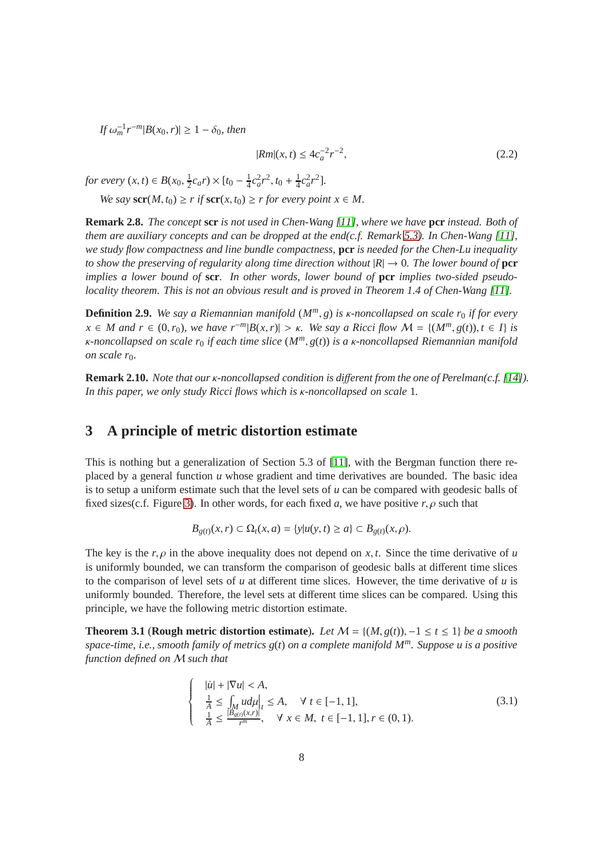$|f \omega_m^{-1} r^{-m} |B(x_0, r)| \geq 1 - \delta_0$ , then

<span id="page-7-1"></span>
$$
|Rm|(x,t) \le 4c_a^{-2}r^{-2},\tag{2.2}
$$

*for every*  $(x, t) \in B(x_0, \frac{1}{2})$  $\frac{1}{2}c_a r \times [t_0 - \frac{1}{4}]$  $\frac{1}{4}c_a^2r^2$ ,  $t_0 + \frac{1}{4}$  $\frac{1}{4}c_a^2r^2$ .

*We say*  $\mathbf{scr}(M, t_0) \ge r$  *if*  $\mathbf{scr}(x, t_0) \ge r$  *for every point*  $x \in M$ .

**Remark 2.8.** *The concept* **scr** *is not used in Chen-Wang [\[11\]](#page-28-0), where we have* **pcr** *instead. Both of them are auxiliary concepts and can be dropped at the end(c.f. Remark [5.3\)](#page-26-1). In Chen-Wang [\[11\]](#page-28-0), we study flow compactness and line bundle compactness,* **pcr** *is needed for the Chen-Lu inequality to show the preserving of regularity along time direction without*  $|R| \to 0$ *. The lower bound of* **pcr** *implies a lower bound of* **scr***. In other words, lower bound of* **pcr** *implies two-sided pseudolocality theorem. This is not an obvious result and is proved in Theorem 1.4 of Chen-Wang [\[11\]](#page-28-0).*

<span id="page-7-2"></span>**Definition 2.9.** *We say a Riemannian manifold*  $(M^m, g)$  *is k-noncollapsed on scale r<sub>0</sub> <i>if for every*  $x \in M$  and  $r \in (0, r_0)$ , we have  $r^{-m}|B(x, r)| > \kappa$ . We say a Ricci flow  $\mathcal{M} = \{(M^m, g(t)), t \in I\}$  is κ*-noncollapsed on scale r*<sup>0</sup> *if each time slice* (*Mm*, *g*(*t*)) *is a* κ*-noncollapsed Riemannian manifold on scale r*<sub>0</sub>*.* 

**Remark 2.10.** *Note that our* κ*-noncollapsed condition is di*ff*erent from the one of Perelman(c.f. [\[14\]](#page-28-3)). In this paper, we only study Ricci flows which is* κ*-noncollapsed on scale* 1*.*

## **3 A principle of metric distortion estimate**

This is nothing but a generalization of Section 5.3 of [\[11\]](#page-28-0), with the Bergman function there replaced by a general function *u* whose gradient and time derivatives are bounded. The basic idea is to setup a uniform estimate such that the level sets of *u* can be compared with geodesic balls of fixed sizes(c.f. Figure [3\)](#page-8-1). In other words, for each fixed *a*, we have positive  $r, \rho$  such that

$$
B_{g(t)}(x,r) \subset \Omega_t(x,a) = \{y|u(y,t) \ge a\} \subset B_{g(t)}(x,\rho).
$$

The key is the  $r, \rho$  in the above inequality does not depend on  $x, t$ . Since the time derivative of *u* is uniformly bounded, we can transform the comparison of geodesic balls at different time slices to the comparison of level sets of *u* at different time slices. However, the time derivative of *u* is uniformly bounded. Therefore, the level sets at different time slices can be compared. Using this principle, we have the following metric distortion estimate.

**Theorem 3.1** (**Rough metric distortion estimate**). Let  $\mathcal{M} = \{(M, g(t))\}$ ,  $-1 \le t \le 1\}$  be a smooth *space-time, i.e., smooth family of metrics g*(*t*) *on a complete manifold Mm. Suppose u is a positive function defined on* M *such that*

<span id="page-7-0"></span>
$$
\begin{cases}\n|\dot{u}| + |\nabla u| < A, \\
\frac{1}{A} \le \int_M u d\mu|_t \le A, \quad \forall \ t \in [-1, 1], \\
\frac{1}{A} \le \frac{|B_{g(t)}(x, r)|}{r^m}, \quad \forall \ x \in M, \ t \in [-1, 1], r \in (0, 1).\n\end{cases} \tag{3.1}
$$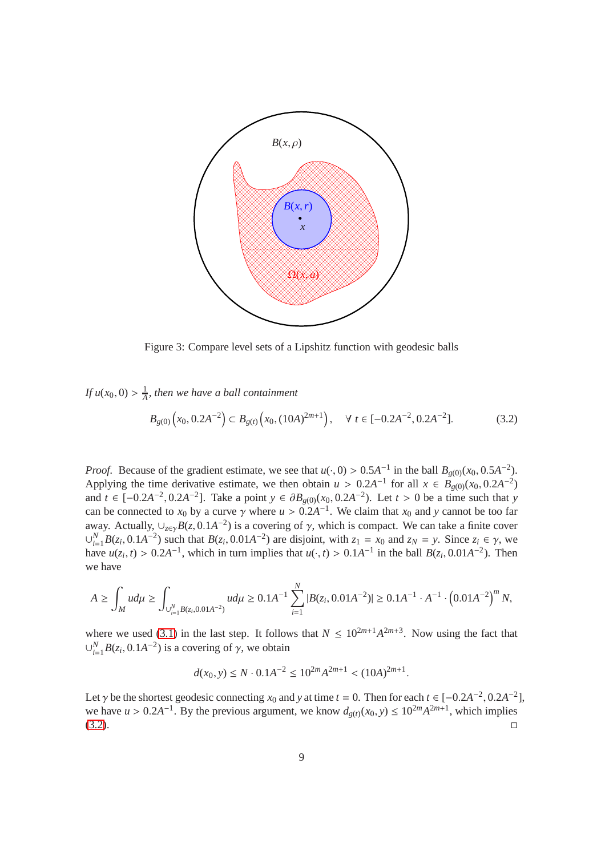

<span id="page-8-1"></span>Figure 3: Compare level sets of a Lipshitz function with geodesic balls

*If*  $u(x_0, 0) > \frac{1}{4}$ *A , then we have a ball containment*

<span id="page-8-2"></span>
$$
B_{g(0)}(x_0, 0.2A^{-2}) \subset B_{g(t)}(x_0, (10A)^{2m+1}), \quad \forall \ t \in [-0.2A^{-2}, 0.2A^{-2}]. \tag{3.2}
$$

*Proof.* Because of the gradient estimate, we see that  $u(\cdot, 0) > 0.5A^{-1}$  in the ball  $B_{g(0)}(x_0, 0.5A^{-2})$ . Applying the time derivative estimate, we then obtain  $u > 0.2A^{-1}$  for all  $x \in B_{g(0)}(x_0, 0.2A^{-2})$ and *t* ∈ [-0.2*A*<sup>-2</sup>, 0.2*A*<sup>-2</sup>]. Take a point *y* ∈  $\partial B_{g(0)}(x_0, 0.2A^{-2})$ . Let *t* > 0 be a time such that *y* can be connected to  $x_0$  by a curve  $\gamma$  where  $u > 0.2A^{-1}$ . We claim that  $x_0$  and y cannot be too far away. Actually,  $\cup_{z \in \gamma} B(z, 0.1A^{-2})$  is a covering of  $\gamma$ , which is compact. We can take a finite cover  $\bigcup_{i=1}^{N} B(z_i, 0.1A^{-2})$  such that  $B(z_i, 0.01A^{-2})$  are disjoint, with  $z_1 = x_0$  and  $z_N = y$ . Since  $z_i \in \gamma$ , we have  $u(z_i, t) > 0.2A^{-1}$ , which in turn implies that  $u(\cdot, t) > 0.1A^{-1}$  in the ball  $B(z_i, 0.01A^{-2})$ . Then we have

$$
A \ge \int_M u d\mu \ge \int_{\bigcup_{i=1}^N B(z_i, 0.01A^{-2})} u d\mu \ge 0.1A^{-1} \sum_{i=1}^N |B(z_i, 0.01A^{-2})| \ge 0.1A^{-1} \cdot A^{-1} \cdot \left(0.01A^{-2}\right)^m N,
$$

where we used [\(3.1\)](#page-7-0) in the last step. It follows that  $N \leq 10^{2m+1} A^{2m+3}$ . Now using the fact that  $\cup_{i=1}^{N} B(z_i, 0.1A^{-2})$  is a covering of  $\gamma$ , we obtain

$$
d(x_0, y) \le N \cdot 0.1A^{-2} \le 10^{2m} A^{2m+1} < (10A)^{2m+1}.
$$

<span id="page-8-0"></span>Let  $\gamma$  be the shortest geodesic connecting  $x_0$  and  $y$  at time  $t = 0$ . Then for each  $t \in [-0.2A^{-2}, 0.2A^{-2}]$ , we have  $u > 0.2A^{-1}$ . By the previous argument, we know  $d_{g(t)}(x_0, y) \le 10^{2m} A^{2m+1}$ , which implies  $\Box$   $\Box$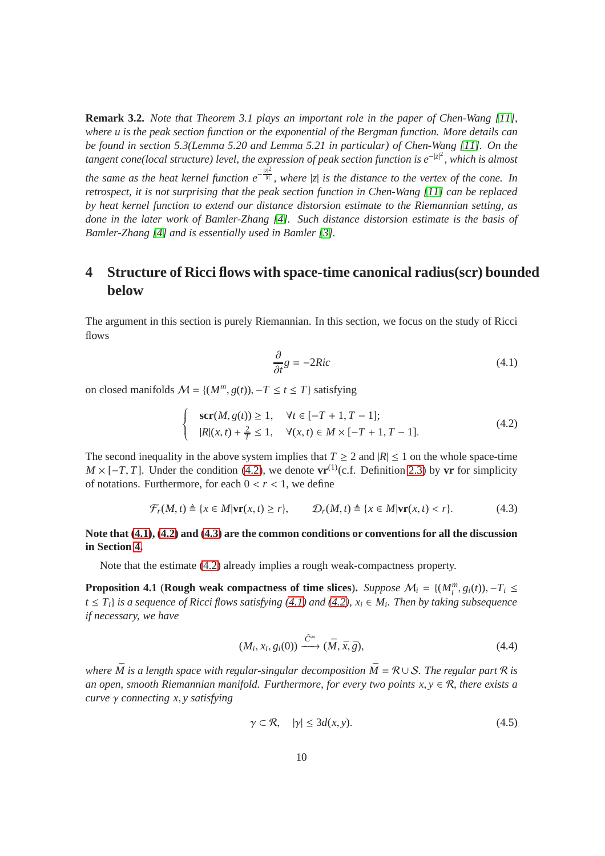**Remark 3.2.** *Note that Theorem 3.1 plays an important role in the paper of Chen-Wang [\[11\]](#page-28-0), where u is the peak section function or the exponential of the Bergman function. More details can be found in section 5.3(Lemma 5.20 and Lemma 5.21 in particular) of Chen-Wang [\[11\]](#page-28-0). On the tangent cone(local structure) level, the expression of peak section function is e<sup>−|z|2</sup>, which is almost* 

*the same as the heat kernel function e*− |*z*| 2 |*t*| *, where* |*z*| *is the distance to the vertex of the cone. In retrospect, it is not surprising that the peak section function in Chen-Wang [\[11\]](#page-28-0) can be replaced by heat kernel function to extend our distance distorsion estimate to the Riemannian setting, as done in the later work of Bamler-Zhang [\[4\]](#page-27-7). Such distance distorsion estimate is the basis of Bamler-Zhang [\[4\]](#page-27-7) and is essentially used in Bamler [\[3\]](#page-27-6).*

# <span id="page-9-3"></span>**4 Structure of Ricci flows with space-time canonical radius(scr) bounded below**

The argument in this section is purely Riemannian. In this section, we focus on the study of Ricci flows

<span id="page-9-2"></span><span id="page-9-1"></span><span id="page-9-0"></span>
$$
\frac{\partial}{\partial t}g = -2Ric\tag{4.1}
$$

on closed manifolds  $M = \{(M^m, g(t)), -T \le t \le T\}$  satisfying

$$
\begin{cases}\n\text{scr}(M, g(t)) \ge 1, & \forall t \in [-T + 1, T - 1]; \\
|R|(x, t) + \frac{2}{T} \le 1, & \forall (x, t) \in M \times [-T + 1, T - 1].\n\end{cases} (4.2)
$$

The second inequality in the above system implies that  $T \ge 2$  and  $|R| \le 1$  on the whole space-time  $M \times [-T, T]$ . Under the condition [\(4.2\)](#page-9-0), we denote **vr**<sup>(1)</sup>(c.f. Definition [2.3\)](#page-5-2) by **vr** for simplicity of notations. Furthermore, for each  $0 < r < 1$ , we define

$$
\mathcal{F}_r(M,t) \triangleq \{x \in M | \mathbf{vr}(x,t) \ge r \}, \qquad \mathcal{D}_r(M,t) \triangleq \{x \in M | \mathbf{vr}(x,t) < r \}. \tag{4.3}
$$

#### **Note that [\(4.1\)](#page-9-1), [\(4.2\)](#page-9-0) and [\(4.3\)](#page-9-2) are the common conditions or conventions for all the discussion in Section [4.](#page-9-3)**

Note that the estimate [\(4.2\)](#page-9-0) already implies a rough weak-compactness property.

**Proposition 4.1** (**Rough weak compactness of time slices**). *Suppose*  $M_i = \{(M_i^m, g_i(t)), -T_i \leq \dots \leq \{M_i^m, g_i^m\}$ *t* ≤ *Ti*} *is a sequence of Ricci flows satisfying [\(4.1\)](#page-9-1) and [\(4.2\)](#page-9-0), x<sup>i</sup>* ∈ *M<sup>i</sup> . Then by taking subsequence if necessary, we have*

<span id="page-9-4"></span>
$$
(M_i, x_i, g_i(0)) \xrightarrow{\hat{C}^{\infty}} (\bar{M}, \bar{x}, \bar{g}),
$$
\n(4.4)

*where*  $\overline{M}$  *is a length space with regular-singular decomposition*  $\overline{M} = \mathcal{R} \cup \mathcal{S}$ *. The regular part*  $\mathcal{R}$  *is an open, smooth Riemannian manifold. Furthermore, for every two points*  $x, y \in \mathcal{R}$ *, there exists a curve* γ *connecting x*, *y satisfying*

$$
\gamma \subset \mathcal{R}, \quad |\gamma| \le 3d(x, y). \tag{4.5}
$$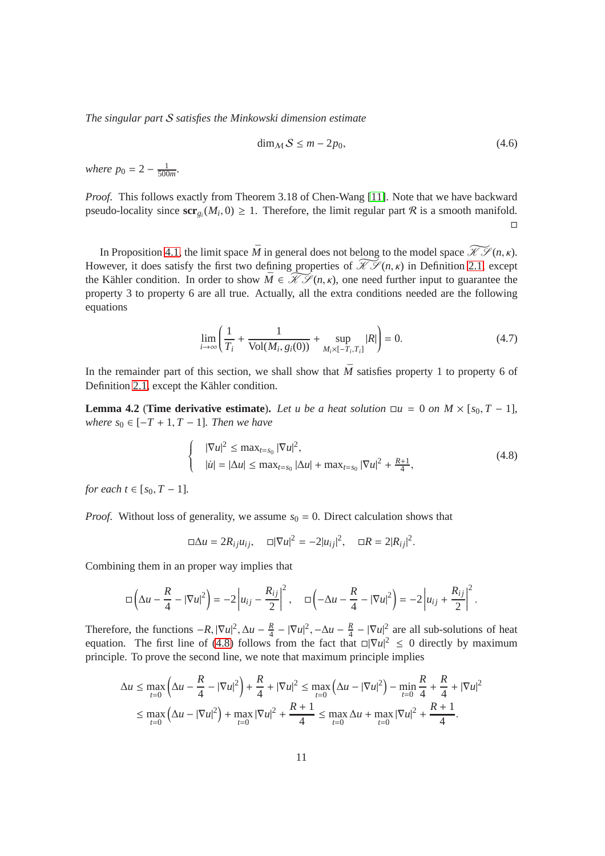*The singular part* S *satisfies the Minkowski dimension estimate*

<span id="page-10-0"></span>
$$
\dim_{\mathcal{M}} S \le m - 2p_0,\tag{4.6}
$$

*where*  $p_0 = 2 - \frac{1}{500}$  $\frac{1}{500m}$ 

*Proof.* This follows exactly from Theorem 3.18 of Chen-Wang [\[11\]](#page-28-0). Note that we have backward pseudo-locality since  $\text{scr}_{g_i}(M_i, 0) \ge 1$ . Therefore, the limit regular part  $R$  is a smooth manifold.  $\Box$ 

In Proposition [4.1,](#page-10-0) the limit space  $\overline{M}$  in general does not belong to the model space  $\mathcal{H}(\mathcal{S}(n,\kappa))$ . However, it does satisfy the first two defining properties of  $\mathcal{H}\mathcal{S}(n,\kappa)$  in Definition [2.1,](#page-5-0) except the Kähler condition. In order to show  $\overline{M} \in \widetilde{\mathcal{KS}}(n, \kappa)$ , one need further input to guarantee the property 3 to property 6 are all true. Actually, all the extra conditions needed are the following equations

<span id="page-10-2"></span>
$$
\lim_{i \to \infty} \left( \frac{1}{T_i} + \frac{1}{\text{Vol}(M_i, g_i(0))} + \sup_{M_i \times [-T_i, T_i]} |R| \right) = 0. \tag{4.7}
$$

In the remainder part of this section, we shall show that  $\overline{M}$  satisfies property 1 to property 6 of Definition [2.1,](#page-5-0) except the Kähler condition.

**Lemma 4.2** (**Time derivative estimate**). Let u be a heat solution  $\Box u = 0$  on  $M \times [s_0, T - 1]$ *, where*  $s_0$  ∈  $[-T + 1, T - 1]$ *. Then we have* 

<span id="page-10-1"></span>
$$
|\nabla u|^2 \le \max_{t=s_0} |\nabla u|^2,
$$
  
\n
$$
|u| = |\Delta u| \le \max_{t=s_0} |\Delta u| + \max_{t=s_0} |\nabla u|^2 + \frac{R+1}{4},
$$
\n(4.8)

*for each*  $t \in [s_0, T-1]$ *.* 

*Proof.* Without loss of generality, we assume  $s_0 = 0$ . Direct calculation shows that

$$
\Box \Delta u = 2R_{ij}u_{ij}, \quad \Box |\nabla u|^2 = -2|u_{ij}|^2, \quad \Box R = 2|R_{ij}|^2.
$$

Combining them in an proper way implies that

 $\overline{1}$  $\left\{ \right.$  $\overline{\mathcal{L}}$ 

$$
\Box\left(\Delta u-\frac{R}{4}-|\nabla u|^2\right)=-2\left|u_{ij}-\frac{R_{ij}}{2}\right|^2,\quad \Box\left(-\Delta u-\frac{R}{4}-|\nabla u|^2\right)=-2\left|u_{ij}+\frac{R_{ij}}{2}\right|^2.
$$

Therefore, the functions  $-R$ ,  $|\nabla u|^2$ ,  $\Delta u - \frac{R}{4}$  $\frac{R}{4} - |\nabla u|^2, -\Delta u - \frac{R}{4}$  $\frac{R}{4} - |\nabla u|^2$  are all sub-solutions of heat equation. The first line of [\(4.8\)](#page-10-1) follows from the fact that  $\Box |\nabla u|^2 \leq 0$  directly by maximum principle. To prove the second line, we note that maximum principle implies

$$
\Delta u \le \max_{t=0} \left( \Delta u - \frac{R}{4} - |\nabla u|^2 \right) + \frac{R}{4} + |\nabla u|^2 \le \max_{t=0} \left( \Delta u - |\nabla u|^2 \right) - \min_{t=0} \frac{R}{4} + \frac{R}{4} + |\nabla u|^2
$$
  

$$
\le \max_{t=0} \left( \Delta u - |\nabla u|^2 \right) + \max_{t=0} |\nabla u|^2 + \frac{R+1}{4} \le \max_{t=0} \Delta u + \max_{t=0} |\nabla u|^2 + \frac{R+1}{4}.
$$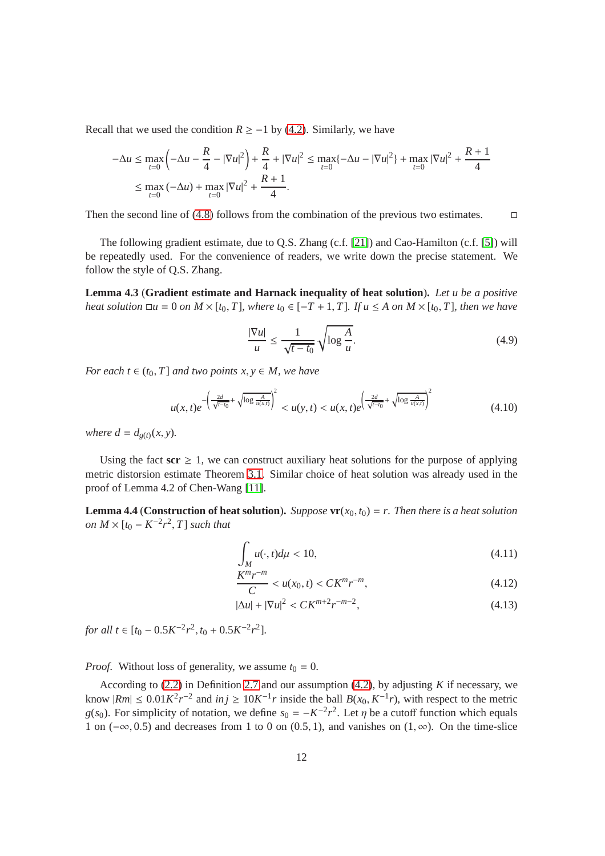Recall that we used the condition  $R \ge -1$  by [\(4.2\)](#page-9-0). Similarly, we have

$$
-\Delta u \le \max_{t=0} \left( -\Delta u - \frac{R}{4} - |\nabla u|^2 \right) + \frac{R}{4} + |\nabla u|^2 \le \max_{t=0} \{ -\Delta u - |\nabla u|^2 \} + \max_{t=0} |\nabla u|^2 + \frac{R+1}{4}
$$
  

$$
\le \max_{t=0} \left( -\Delta u \right) + \max_{t=0} |\nabla u|^2 + \frac{R+1}{4}.
$$

Then the second line of [\(4.8\)](#page-10-1) follows from the combination of the previous two estimates.  $\Box$ 

The following gradient estimate, due to Q.S. Zhang (c.f. [\[21\]](#page-28-6)) and Cao-Hamilton (c.f. [\[5\]](#page-27-8)) will be repeatedly used. For the convenience of readers, we write down the precise statement. We follow the style of Q.S. Zhang.

**Lemma 4.3** (**Gradient estimate and Harnack inequality of heat solution**)**.** *Let u be a positive heat solution*  $\Box u = 0$  *on*  $M \times [t_0, T]$ *, where*  $t_0 \in [-T + 1, T]$ *. If*  $u \le A$  *on*  $M \times [t_0, T]$ *, then we have* 

<span id="page-11-3"></span>
$$
\frac{|\nabla u|}{u} \le \frac{1}{\sqrt{t - t_0}} \sqrt{\log \frac{A}{u}}.\tag{4.9}
$$

*For each t*  $\in$   $(t_0, T]$  *and two points*  $x, y \in M$ *, we have* 

$$
u(x,t)e^{-\left(\frac{2d}{\sqrt{t-t_0}}+\sqrt{\log\frac{A}{u(x,t)}}\right)^2} < u(y,t) < u(x,t)e^{\left(\frac{2d}{\sqrt{t-t_0}}+\sqrt{\log\frac{A}{u(x,t)}}\right)^2}
$$
(4.10)

*where*  $d = d_{g(t)}(x, y)$ *.* 

Using the fact  $\text{scr } \geq 1$ , we can construct auxiliary heat solutions for the purpose of applying metric distorsion estimate Theorem [3.1.](#page-8-2) Similar choice of heat solution was already used in the proof of Lemma 4.2 of Chen-Wang [\[11\]](#page-28-0).

**Lemma 4.4** (**Construction of heat solution**). *Suppose*  $\mathbf{v}\mathbf{r}(x_0, t_0) = r$ . *Then there is a heat solution on*  $M \times [t_0 - K^{-2}r^2, T]$  *such that* 

<span id="page-11-0"></span>
$$
\int_{M} u(\cdot, t) d\mu < 10,\tag{4.11}
$$

<span id="page-11-1"></span>
$$
\frac{K^m r^{-m}}{C} < u(x_0, t) < C K^m r^{-m},\tag{4.12}
$$

<span id="page-11-2"></span>
$$
|\Delta u| + |\nabla u|^2 < CK^{m+2}r^{-m-2},\tag{4.13}
$$

*for all*  $t \in [t_0 - 0.5K^{-2}r^2, t_0 + 0.5K^{-2}r^2]$ .

*Proof.* Without loss of generality, we assume  $t_0 = 0$ .

According to [\(2.2\)](#page-7-1) in Definition [2.7](#page-7-1) and our assumption [\(4.2\)](#page-9-0), by adjusting *K* if necessary, we know  $|Rm|$  ≤ 0.01 $K^2r^{-2}$  and  $inj$  ≥ 10 $K^{-1}r$  inside the ball  $B(x_0, K^{-1}r)$ , with respect to the metric *g*(*s*<sub>0</sub>). For simplicity of notation, we define  $s_0 = -K^{-2}r^2$ . Let  $\eta$  be a cutoff function which equals 1 on ( $-\infty$ , 0.5) and decreases from 1 to 0 on (0.5, 1), and vanishes on (1, $\infty$ ). On the time-slice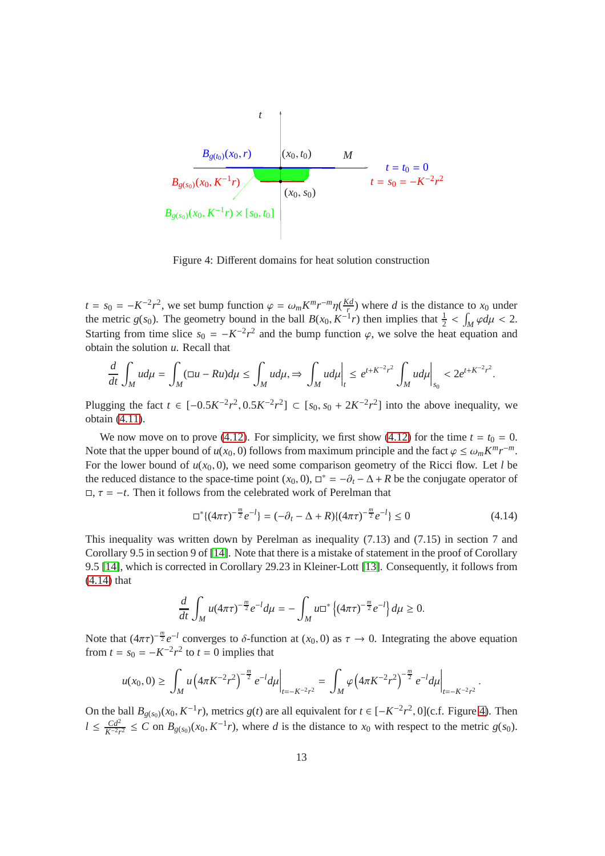PSfrag replacements

$$
B_{g(t_0)}(x_0, r)
$$
  
\n
$$
B_{g(s_0)}(x_0, K^{-1}r)
$$
  
\n
$$
B_{g(s_0)}(x_0, K^{-1}r)
$$
  
\n
$$
B_{g(s_0)}(x_0, K^{-1}r) \times [s_0, t_0]
$$
  
\n
$$
B_{g(s_0)}(x_0, K^{-1}r) \times [s_0, t_0]
$$
  
\n
$$
B_{g(s_0)}(x_0, K^{-1}r) \times [s_0, t_0]
$$

<span id="page-12-1"></span>Figure 4: Different domains for heat solution construction

 $t = s_0 = -K^{-2}r^2$ , we set bump function  $\varphi = \omega_m K^m r^{-m} \eta(\frac{K d}{r})$  $\frac{d}{dx}$ ) where *d* is the distance to  $x_0$  under the metric *g*(*s*<sub>0</sub>). The geometry bound in the ball  $B(x_0, K^{-1}r)$  then implies that  $\frac{1}{2} < \int_M \varphi d\mu < 2$ . Starting from time slice  $s_0 = -K^{-2}r^2$  and the bump function  $\varphi$ , we solve the heat equation and obtain the solution *u*. Recall that

$$
\frac{d}{dt}\int_M u d\mu = \int_M (\square u - Ru) d\mu \le \int_M u d\mu, \Rightarrow \int_M u d\mu \Big|_t \le e^{t+K^{-2}r^2} \int_M u d\mu \Big|_{s_0} < 2e^{t+K^{-2}r^2}.
$$

Plugging the fact *t* ∈ [-0.5 $K^{-2}r^2$ , 0.5 $K^{-2}r^2$ ] ⊂ [ $s_0$ ,  $s_0 + 2K^{-2}r^2$ ] into the above inequality, we obtain [\(4.11\)](#page-11-0).

We now move on to prove [\(4.12\)](#page-11-1). For simplicity, we first show (4.12) for the time  $t = t_0 = 0$ . Note that the upper bound of  $u(x_0, 0)$  follows from maximum principle and the fact  $\varphi \le \omega_m K^m r^{-m}$ . For the lower bound of  $u(x_0, 0)$ , we need some comparison geometry of the Ricci flow. Let *l* be the reduced distance to the space-time point  $(x_0, 0)$ ,  $\Box^* = -\partial_t - \Delta + R$  be the conjugate operator of  $\Box$ ,  $\tau = -t$ . Then it follows from the celebrated work of Perelman that

<span id="page-12-0"></span>
$$
\Box^* \{ (4\pi\tau)^{-\frac{m}{2}} e^{-l} \} = (-\partial_t - \Delta + R) \{ (4\pi\tau)^{-\frac{m}{2}} e^{-l} \} \le 0 \tag{4.14}
$$

This inequality was written down by Perelman as inequality (7.13) and (7.15) in section 7 and Corollary 9.5 in section 9 of [\[14\]](#page-28-3). Note that there is a mistake of statement in the proof of Corollary 9.5 [\[14\]](#page-28-3), which is corrected in Corollary 29.23 in Kleiner-Lott [\[13\]](#page-28-7). Consequently, it follows from [\(4.14\)](#page-12-0) that

$$
\frac{d}{dt} \int_M u (4\pi \tau)^{-\frac{m}{2}} e^{-l} d\mu = - \int_M u \Box^* \left\{ (4\pi \tau)^{-\frac{m}{2}} e^{-l} \right\} d\mu \ge 0.
$$

Note that  $(4\pi\tau)^{-\frac{m}{2}}e^{-l}$  converges to  $\delta$ -function at  $(x_0, 0)$  as  $\tau \to 0$ . Integrating the above equation from  $t = s_0 = -K^{-2}r^2$  to  $t = 0$  implies that

$$
u(x_0,0) \geq \left. \int_M u \left( 4\pi K^{-2} r^2 \right)^{-\frac{m}{2}} e^{-l} d\mu \right|_{t=-K^{-2}r^2} = \left. \int_M \varphi \left( 4\pi K^{-2} r^2 \right)^{-\frac{m}{2}} e^{-l} d\mu \right|_{t=-K^{-2}r^2}.
$$

On the ball  $B_{g(s_0)}(x_0, K^{-1}r)$ , metrics  $g(t)$  are all equivalent for  $t \in [-K^{-2}r^2, 0]$  (c.f. Figure [4\)](#page-12-1). Then  $l \leq \frac{Cd^2}{K^{-2}r}$  $\frac{Cd^2}{K^{-2}r^2} \le C$  on  $B_{g(s_0)}(x_0, K^{-1}r)$ , where *d* is the distance to  $x_0$  with respect to the metric  $g(s_0)$ .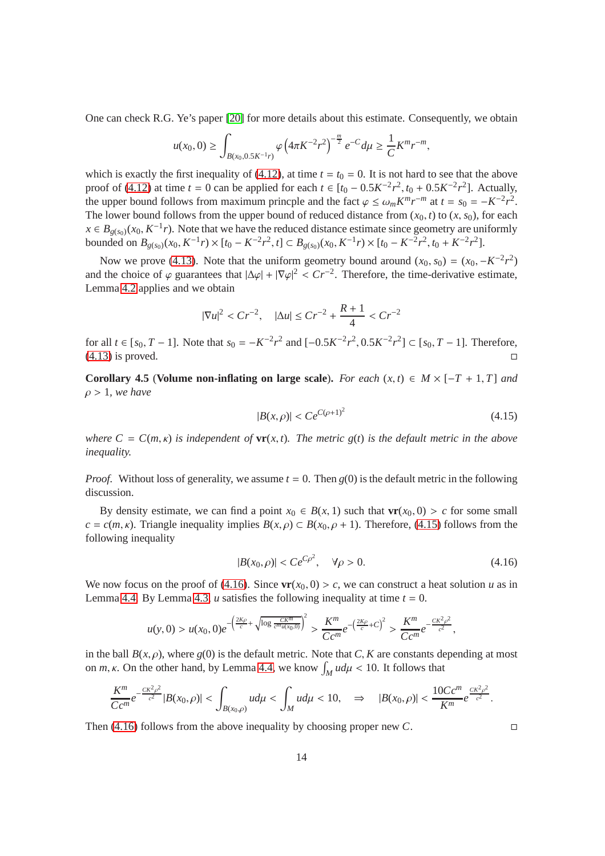One can check R.G. Ye's paper [\[20\]](#page-28-8) for more details about this estimate. Consequently, we obtain

$$
u(x_0,0) \ge \int_{B(x_0,0.5K^{-1}r)} \varphi\left(4\pi K^{-2}r^2\right)^{-\frac{m}{2}} e^{-C} d\mu \ge \frac{1}{C} K^m r^{-m},
$$

which is exactly the first inequality of [\(4.12\)](#page-11-1), at time  $t = t_0 = 0$ . It is not hard to see that the above proof of [\(4.12\)](#page-11-1) at time *t* = 0 can be applied for each *t* ∈ [ $t_0$  − 0.5 $K^{-2}r^2$ ,  $t_0$  + 0.5 $K^{-2}r^2$ ]. Actually, the upper bound follows from maximum princple and the fact  $\varphi \leq \omega_m K^m r^{-m}$  at  $t = s_0 = -K^{-2} r^2$ . The lower bound follows from the upper bound of reduced distance from  $(x_0, t)$  to  $(x, s_0)$ , for each  $x \in B_{g(s_0)}(x_0, K^{-1}r)$ . Note that we have the reduced distance estimate since geometry are uniformly bounded on  $B_{g(s_0)}(x_0, K^{-1}r) \times [t_0 - K^{-2}r^2, t] \subset B_{g(s_0)}(x_0, K^{-1}r) \times [t_0 - K^{-2}r^2, t_0 + K^{-2}r^2]$ .

Now we prove [\(4.13\)](#page-11-2). Note that the uniform geometry bound around  $(x_0, s_0) = (x_0, -K^{-2}r^2)$ and the choice of  $\varphi$  guarantees that  $|\Delta \varphi| + |\nabla \varphi|^2 < Cr^{-2}$ . Therefore, the time-derivative estimate, Lemma [4.2](#page-10-1) applies and we obtain

$$
|\nabla u|^2 < Cr^{-2}, \quad |\Delta u| \le Cr^{-2} + \frac{R+1}{4} < Cr^{-2}
$$

for all *t* ∈ [ $s_0$ , *T* − 1]. Note that  $s_0 = -K^{-2}r^2$  and  $[-0.5K^{-2}r^2, 0.5K^{-2}r^2]$  ⊂ [ $s_0$ , *T* − 1]. Therefore, [\(4.13\)](#page-11-2) is proved.

**Corollary 4.5** (**Volume non-inflating on large scale**). For each  $(x, t) \in M \times [-T + 1, T]$  and ρ > 1*, we have*

<span id="page-13-0"></span>
$$
|B(x,\rho)| < Ce^{C(\rho+1)^2} \tag{4.15}
$$

*where*  $C = C(m, \kappa)$  *is independent of*  $\mathbf{v}(\mathbf{r}, t)$ *. The metric g(t) is the default metric in the above inequality.*

*Proof.* Without loss of generality, we assume  $t = 0$ . Then  $g(0)$  is the default metric in the following discussion.

By density estimate, we can find a point  $x_0 \in B(x, 1)$  such that  $\mathbf{vr}(x_0, 0) > c$  for some small  $c = c(m, \kappa)$ . Triangle inequality implies  $B(x, \rho) \subset B(x_0, \rho + 1)$ . Therefore, [\(4.15\)](#page-13-0) follows from the following inequality

$$
|B(x_0, \rho)| < Ce^{C\rho^2}, \quad \forall \rho > 0. \tag{4.16}
$$

We now focus on the proof of [\(4.16\)](#page-13-1). Since  $\mathbf{vr}(x_0, 0) > c$ , we can construct a heat solution *u* as in Lemma [4.4.](#page-11-2) By Lemma [4.3,](#page-11-3) *u* satisfies the following inequality at time  $t = 0$ .

$$
u(y,0) > u(x_0,0)e^{-\left(\frac{2K\rho}{c} + \sqrt{\log \frac{CK^m}{c^m u(x_0,0)}}\right)^2} > \frac{K^m}{Cc^m}e^{-\left(\frac{2K\rho}{c} + C\right)^2} > \frac{K^m}{Cc^m}e^{-\frac{CK^2\rho^2}{c^2}},
$$

in the ball  $B(x, \rho)$ , where  $g(0)$  is the default metric. Note that *C*, *K* are constants depending at most on *m*, *k*. On the other hand, by Lemma [4.4,](#page-11-2) we know  $\int_M u d\mu < 10$ . It follows that

$$
\frac{K^m}{Cc^m}e^{-\frac{CK^2\rho^2}{c^2}}|B(x_0,\rho)|<\int_{B(x_0,\rho)}ud\mu<\int_Mud\mu<10,\quad \Rightarrow\quad |B(x_0,\rho)|<\frac{10Cc^m}{K^m}e^{\frac{CK^2\rho^2}{c^2}}.
$$

Then [\(4.16\)](#page-13-1) follows from the above inequality by choosing proper new *C*.

<span id="page-13-1"></span>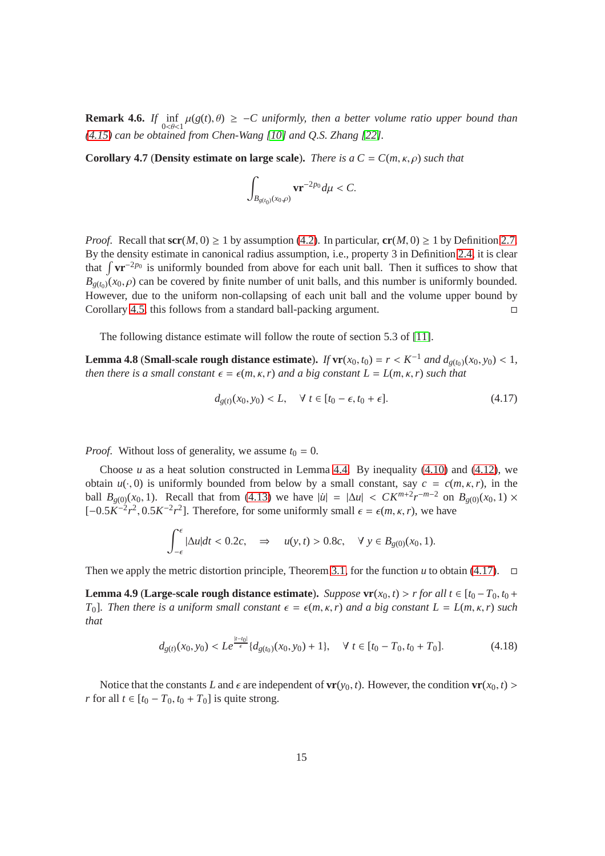**Remark 4.6.** *If*  $\inf_{0 \le \theta \le 1} \mu(g(t), \theta) \ge -C$  uniformly, then a better volume ratio upper bound than *[\(4.15\)](#page-13-0) can be obtained from Chen-Wang [\[10\]](#page-27-1) and Q.S. Zhang [\[22\]](#page-28-5).*

<span id="page-14-2"></span>**Corollary 4.7** (**Density estimate on large scale**). *There is a*  $C = C(m, \kappa, \rho)$  *such that* 

$$
\int_{B_{g(t_0)}(x_0,\rho)} \mathbf{v} \mathbf{r}^{-2p_0} d\mu < C.
$$

*Proof.* Recall that  $\text{scr}(M, 0) \ge 1$  by assumption [\(4.2\)](#page-9-0). In particular,  $\text{cr}(M, 0) \ge 1$  by Definition [2.7.](#page-7-1) By the density estimate in canonical radius assumption, i.e., property 3 in Definition [2.4,](#page-6-0) it is clear that  $\int \mathbf{v} \mathbf{r}^{-2p_0}$  is uniformly bounded from above for each unit ball. Then it suffices to show that  $B_{g(t_0)}(x_0,\rho)$  can be covered by finite number of unit balls, and this number is uniformly bounded. However, due to the uniform non-collapsing of each unit ball and the volume upper bound by Corollary [4.5,](#page-13-0) this follows from a standard ball-packing argument.  $\Box$ 

The following distance estimate will follow the route of section 5.3 of [\[11\]](#page-28-0).

**Lemma 4.8** (**Small-scale rough distance estimate**). *If*  $\mathbf{vr}(x_0, t_0) = r < K^{-1}$  *and*  $d_{g(t_0)}(x_0, y_0) < 1$ , *then there is a small constant*  $\epsilon = \epsilon(m, \kappa, r)$  *and a big constant*  $L = L(m, \kappa, r)$  *such that* 

<span id="page-14-1"></span>
$$
d_{g(t)}(x_0, y_0) < L, \quad \forall \ t \in [t_0 - \epsilon, t_0 + \epsilon]. \tag{4.17}
$$

*Proof.* Without loss of generality, we assume  $t_0 = 0$ .

Choose  $u$  as a heat solution constructed in Lemma [4.4.](#page-11-2) By inequality  $(4.10)$  and  $(4.12)$ , we obtain  $u(\cdot, 0)$  is uniformly bounded from below by a small constant, say  $c = c(m, \kappa, r)$ , in the ball  $B_{g(0)}(x_0, 1)$ . Recall that from [\(4.13\)](#page-11-2) we have  $|u| = |\Delta u| < CK^{m+2}r^{-m-2}$  on  $B_{g(0)}(x_0, 1) \times$  $[-0.5K^{-2}r^2, 0.5K^{-2}r^2]$ . Therefore, for some uniformly small  $\epsilon = \epsilon(m, \kappa, r)$ , we have

$$
\int_{-\epsilon}^{\epsilon} |\Delta u| dt < 0.2c, \quad \Rightarrow \quad u(y, t) > 0.8c, \quad \forall \ y \in B_{g(0)}(x_0, 1).
$$

Then we apply the metric distortion principle, Theorem [3.1,](#page-8-2) for the function *u* to obtain [\(4.17\)](#page-14-1).  $\Box$ 

**Lemma 4.9** (**Large-scale rough distance estimate**). *Suppose*  $\mathbf{vr}(x_0, t) > r$  *for all t* ∈ [ $t_0 - T_0, t_0 + T_1$ *T*<sub>0</sub>*l. Then there is a uniform small constant*  $\epsilon = \epsilon(m, \kappa, r)$  *and a big constant*  $L = L(m, \kappa, r)$  *such that*

<span id="page-14-0"></span>
$$
d_{g(t)}(x_0, y_0) < L e^{\frac{|t-t_0|}{\epsilon}} \{ d_{g(t_0)}(x_0, y_0) + 1 \}, \quad \forall \ t \in [t_0 - T_0, t_0 + T_0]. \tag{4.18}
$$

Notice that the constants *L* and  $\epsilon$  are independent of  $\mathbf{vr}(y_0, t)$ . However, the condition  $\mathbf{vr}(x_0, t)$  > *r* for all  $t \in [t_0 - T_0, t_0 + T_0]$  is quite strong.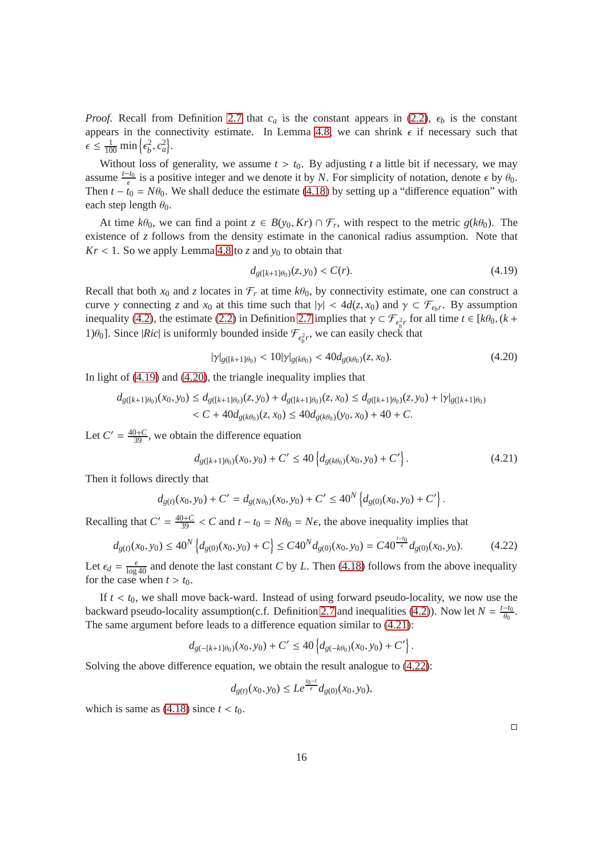*Proof.* Recall from Definition [2.7](#page-7-1) that  $c_a$  is the constant appears in [\(2.2\)](#page-7-1),  $\epsilon_b$  is the constant appears in the connectivity estimate. In Lemma [4.8,](#page-14-1) we can shrink  $\epsilon$  if necessary such that  $\epsilon \leq \frac{1}{100} \min \left\{ \epsilon_b^2, c_a^2 \right\}.$ 

Without loss of generality, we assume  $t > t_0$ . By adjusting t a little bit if necessary, we may assume  $\frac{t-t_0}{\epsilon}$  is a positive integer and we denote it by *N*. For simplicity of notation, denote  $\epsilon$  by  $\theta_0$ . Then  $t - t_0 = N\theta_0$ . We shall deduce the estimate [\(4.18\)](#page-14-0) by setting up a "difference equation" with each step length  $\theta_0$ .

At time  $k\theta_0$ , we can find a point  $z \in B(y_0, Kr) \cap \mathcal{F}_r$ , with respect to the metric  $g(k\theta_0)$ . The existence of *z* follows from the density estimate in the canonical radius assumption. Note that  $Kr < 1$ . So we apply Lemma [4.8](#page-14-1) to *z* and  $y_0$  to obtain that

$$
d_{g([k+1]\theta_0)}(z, y_0) < C(r). \tag{4.19}
$$

Recall that both  $x_0$  and *z* locates in  $\mathcal{F}_r$  at time  $k\theta_0$ , by connectivity estimate, one can construct a curve  $\gamma$  connecting *z* and  $x_0$  at this time such that  $|\gamma| < 4d(z, x_0)$  and  $\gamma \subset \mathcal{F}_{\epsilon_b r}$ . By assumption inequality [\(4.2\)](#page-9-0), the estimate [\(2.2\)](#page-7-1) in Definition [2.7](#page-7-1) implies that  $\gamma \subset \mathcal{F}_{\epsilon_b^2 r}$  for all time  $t \in [k\theta_0, (k +$ 1) $\theta_0$ ]. Since |*Ric*| is uniformly bounded inside  $\mathcal{F}_{\epsilon_b^2 r}$ , we can easily check that

$$
|\gamma|_{g([k+1]\theta_0)} < 10|\gamma|_{g(k\theta_0)} < 40d_{g(k\theta_0)}(z, x_0). \tag{4.20}
$$

In light of [\(4.19\)](#page-15-0) and [\(4.20\)](#page-15-1), the triangle inequality implies that

$$
d_{g([k+1]\theta_0)}(x_0, y_0) \le d_{g([k+1]\theta_0)}(z, y_0) + d_{g([k+1]\theta_0)}(z, x_0) \le d_{g([k+1]\theta_0)}(z, y_0) + |\gamma|_{g([k+1]\theta_0)}< C + 40d_{g(k\theta_0)}(z, x_0) \le 40d_{g(k\theta_0)}(y_0, x_0) + 40 + C.
$$

Let  $C' = \frac{40+C}{39}$ , we obtain the difference equation

$$
d_{g([k+1]\theta_0)}(x_0, y_0) + C' \le 40 \left\{ d_{g(k\theta_0)}(x_0, y_0) + C' \right\}.
$$
\n(4.21)

<span id="page-15-3"></span><span id="page-15-2"></span><span id="page-15-1"></span><span id="page-15-0"></span>.

Then it follows directly that

$$
d_{g(t)}(x_0, y_0) + C' = d_{g(N\theta_0)}(x_0, y_0) + C' \le 40^N \left\{ d_{g(0)}(x_0, y_0) + C' \right\}
$$

Recalling that  $C' = \frac{40+C}{39} < C$  and  $t - t_0 = N\theta_0 = N\epsilon$ , the above inequality implies that

$$
d_{g(t)}(x_0, y_0) \le 40^N \left\{ d_{g(0)}(x_0, y_0) + C \right\} \le C40^N d_{g(0)}(x_0, y_0) = C40^{\frac{t-t_0}{\epsilon}} d_{g(0)}(x_0, y_0). \tag{4.22}
$$

Let  $\epsilon_d = \frac{\epsilon}{\log 40}$  and denote the last constant *C* by *L*. Then [\(4.18\)](#page-14-0) follows from the above inequality for the case when  $t > t_0$ .

If  $t < t_0$ , we shall move back-ward. Instead of using forward pseudo-locality, we now use the backward pseudo-locality assumption(c.f. Definition [2.7](#page-7-1) and inequalities [\(4.2\)](#page-9-0)). Now let  $N = \frac{t - t_0}{\theta_0}$ . The same argument before leads to a difference equation similar to [\(4.21\)](#page-15-2):

$$
d_{g(-[k+1]\theta_0)}(x_0,y_0)+C'\leq 40\left\{d_{g(-k\theta_0)}(x_0,y_0)+C'\right\}.
$$

Solving the above difference equation, we obtain the result analogue to [\(4.22\)](#page-15-3):

$$
d_{g(t)}(x_0, y_0) \leq Le^{\frac{t_0 - t}{\epsilon}} d_{g(0)}(x_0, y_0),
$$

which is same as  $(4.18)$  since  $t < t_0$ .

 $\Box$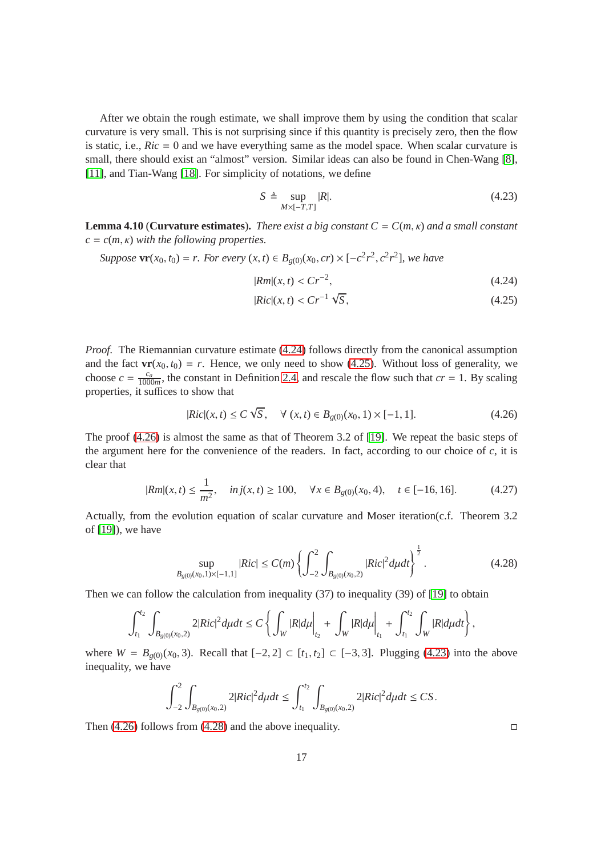After we obtain the rough estimate, we shall improve them by using the condition that scalar curvature is very small. This is not surprising since if this quantity is precisely zero, then the flow is static, i.e.,  $Ric = 0$  and we have everything same as the model space. When scalar curvature is small, there should exist an "almost" version. Similar ideas can also be found in Chen-Wang [\[8\]](#page-27-3), [\[11\]](#page-28-0), and Tian-Wang [\[18\]](#page-28-9). For simplicity of notations, we define

<span id="page-16-3"></span>
$$
S \triangleq \sup_{M \times [-T,T]} |R|.
$$
\n(4.23)

**Lemma 4.10** (**Curvature estimates**). *There exist a big constant*  $C = C(m, \kappa)$  *and a small constant c* = *c*(*m*, κ) *with the following properties.*

*Suppose*  $\mathbf{vr}(x_0, t_0) = r$ *. For every*  $(x, t) \in B_{g(0)}(x_0, cr) \times [-c^2r^2, c^2r^2]$ , we have

<span id="page-16-1"></span><span id="page-16-0"></span>
$$
|Rm|(x,t) < Cr^{-2},\tag{4.24}
$$

<span id="page-16-2"></span>
$$
|Ric|(x,t) < Cr^{-1}\sqrt{S},\tag{4.25}
$$

*Proof.* The Riemannian curvature estimate [\(4.24\)](#page-16-0) follows directly from the canonical assumption and the fact  $\mathbf{vr}(x_0, t_0) = r$ . Hence, we only need to show [\(4.25\)](#page-16-1). Without loss of generality, we choose  $c = \frac{c_a}{1000}$  $\frac{c_a}{1000m}$ , the constant in Definition [2.4,](#page-6-0) and rescale the flow such that  $cr = 1$ . By scaling properties, it suffices to show that

$$
|Ric|(x,t) \le C\sqrt{S}, \quad \forall (x,t) \in B_{g(0)}(x_0,1) \times [-1,1]. \tag{4.26}
$$

The proof [\(4.26\)](#page-16-2) is almost the same as that of Theorem 3.2 of [\[19\]](#page-28-10). We repeat the basic steps of the argument here for the convenience of the readers. In fact, according to our choice of *c*, it is clear that

$$
|Rm|(x,t) \le \frac{1}{m^2}, \quad inj(x,t) \ge 100, \quad \forall x \in B_{g(0)}(x_0, 4), \quad t \in [-16, 16]. \tag{4.27}
$$

Actually, from the evolution equation of scalar curvature and Moser iteration(c.f. Theorem 3.2 of [\[19\]](#page-28-10)), we have

$$
\sup_{B_{g(0)}(x_0,1)\times[-1,1]}|Ric| \le C(m)\left\{\int_{-2}^2 \int_{B_{g(0)}(x_0,2)}|Ric|^2d\mu dt\right\}^{\frac{1}{2}}.
$$
\n(4.28)

Then we can follow the calculation from inequality (37) to inequality (39) of [\[19\]](#page-28-10) to obtain

$$
\int_{t_1}^{t_2} \int_{B_{g(0)}(x_0,2)} 2|Ric|^2 d\mu dt \leq C \left\{ \left. \int_W |R| d\mu \right|_{t_2} + \left. \int_W |R| d\mu \right|_{t_1} + \int_{t_1}^{t_2} \int_W |R| d\mu dt \right\},
$$

where *W* = *B*<sub>*g*(0)</sub>(*x*<sub>0</sub>, 3). Recall that [−2, 2] ⊂ [*t*<sub>1</sub>, *t*<sub>2</sub>] ⊂ [−3, 3]. Plugging [\(4.23\)](#page-16-3) into the above inequality, we have

$$
\int_{-2}^{2} \int_{B_{g(0)}(x_0,2)} 2|Ric|^2 d\mu dt \leq \int_{t_1}^{t_2} \int_{B_{g(0)}(x_0,2)} 2|Ric|^2 d\mu dt \leq CS.
$$

Then [\(4.26\)](#page-16-2) follows from [\(4.28\)](#page-16-4) and the above inequality.  $\Box$ 

<span id="page-16-4"></span>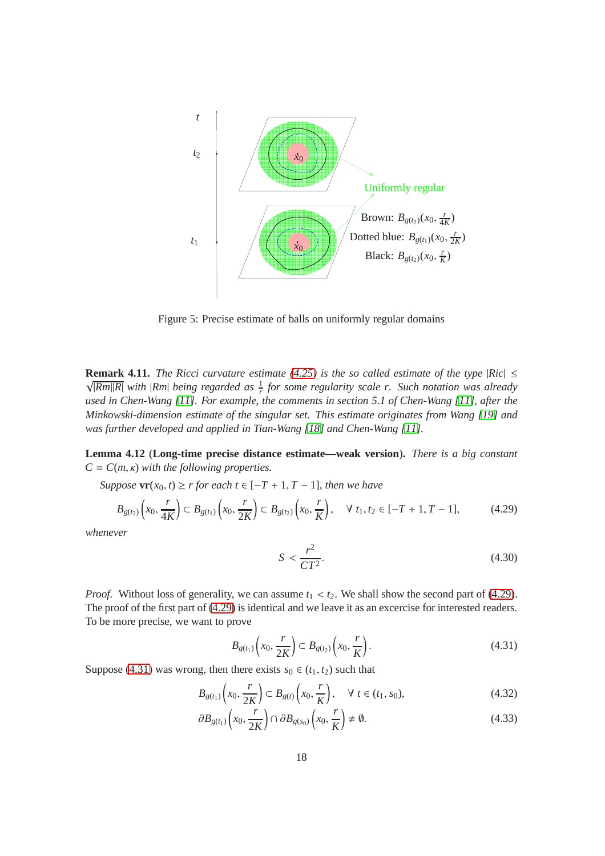

Figure 5: Precise estimate of balls on uniformly regular domains

**Remark 4.11.** *The Ricci curvature estimate*  $(4.25)$  *is the so called estimate of the type*  $|Ric| \le$  $\sqrt{|Rm||R|}$  with  $|Rm|$  being regarded as  $\frac{1}{r}$  for some regularity scale r. Such notation was already *used in Chen-Wang [\[11\]](#page-28-0). For example, the comments in section 5.1 of Chen-Wang [\[11\]](#page-28-0), after the Minkowski-dimension estimate of the singular set. This estimate originates from Wang [\[19\]](#page-28-10) and was further developed and applied in Tian-Wang [\[18\]](#page-28-9) and Chen-Wang [\[11\]](#page-28-0).*

**Lemma 4.12** (**Long-time precise distance estimate—weak version**)**.** *There is a big constant*  $C = C(m, \kappa)$  *with the following properties.* 

*Suppose*  $\mathbf{vr}(x_0, t) \ge r$  *for each*  $t \in [-T + 1, T - 1]$ *, then we have* 

$$
B_{g(t_2)}\left(x_0, \frac{r}{4K}\right) \subset B_{g(t_1)}\left(x_0, \frac{r}{2K}\right) \subset B_{g(t_2)}\left(x_0, \frac{r}{K}\right), \quad \forall \ t_1, t_2 \in [-T+1, T-1],\tag{4.29}
$$

*whenever*

<span id="page-17-4"></span><span id="page-17-3"></span><span id="page-17-2"></span><span id="page-17-1"></span><span id="page-17-0"></span>
$$
S < \frac{r^2}{CT^2}.\tag{4.30}
$$

*Proof.* Without loss of generality, we can assume  $t_1 < t_2$ . We shall show the second part of [\(4.29\)](#page-17-0). The proof of the first part of [\(4.29\)](#page-17-0) is identical and we leave it as an excercise for interested readers. To be more precise, we want to prove

$$
B_{g(t_1)}\left(x_0, \frac{r}{2K}\right) \subset B_{g(t_2)}\left(x_0, \frac{r}{K}\right). \tag{4.31}
$$

Suppose [\(4.31\)](#page-17-1) was wrong, then there exists  $s_0 \in (t_1, t_2)$  such that

$$
B_{g(t_1)}\left(x_0, \frac{r}{2K}\right) \subset B_{g(t)}\left(x_0, \frac{r}{K}\right), \quad \forall \ t \in (t_1, s_0),\tag{4.32}
$$

$$
\partial B_{g(t_1)}\left(x_0, \frac{r}{2K}\right) \cap \partial B_{g(s_0)}\left(x_0, \frac{r}{K}\right) \neq \emptyset. \tag{4.33}
$$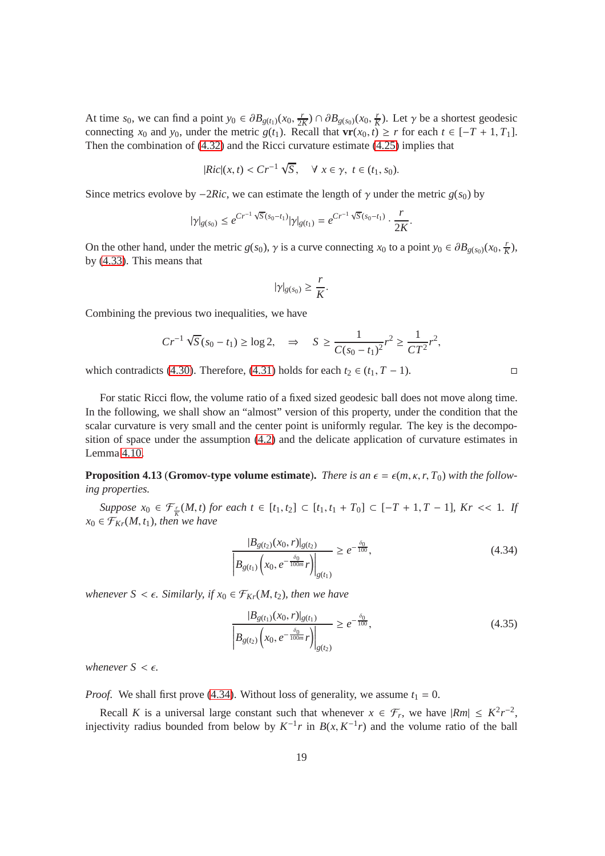At time *s*<sub>0</sub>, we can find a point  $y_0 \in \partial B_{g(t_1)}(x_0, \frac{r}{2l})$  $\frac{r}{2K}$ ) ∩  $\partial B_{g(s_0)}(x_0, \frac{r}{K})$  $\frac{r}{K}$ ). Let  $\gamma$  be a shortest geodesic connecting  $x_0$  and  $y_0$ , under the metric  $g(t_1)$ . Recall that  $\mathbf{vr}(x_0, t) \ge r$  for each  $t \in [-T + 1, T_1]$ . Then the combination of [\(4.32\)](#page-17-2) and the Ricci curvature estimate [\(4.25\)](#page-16-1) implies that

$$
|Ric|(x,t) < Cr^{-1}\sqrt{S}, \quad \forall \ x \in \gamma, \ t \in (t_1, s_0).
$$

Since metrics evolove by  $-2Ric$ , we can estimate the length of  $\gamma$  under the metric *g*(*s*<sub>0</sub>) by

$$
|\gamma|_{g(s_0)} \leq e^{Cr^{-1}\sqrt{S}(s_0-t_1)}|\gamma|_{g(t_1)} = e^{Cr^{-1}\sqrt{S}(s_0-t_1)} \cdot \frac{r}{2K}.
$$

On the other hand, under the metric *g*(*s*<sub>0</sub>),  $\gamma$  is a curve connecting *x*<sub>0</sub> to a point  $y_0 \in \partial B_{g(s_0)}(x_0, \frac{r}{k})$  $\frac{r}{K}$ ), by [\(4.33\)](#page-17-3). This means that

$$
|\gamma|_{g(s_0)} \geq \frac{r}{K}.
$$

Combining the previous two inequalities, we have

$$
Cr^{-1}\sqrt{S}(s_0 - t_1) \ge \log 2, \quad \Rightarrow \quad S \ge \frac{1}{C(s_0 - t_1)^2}r^2 \ge \frac{1}{CT^2}r^2,
$$

which contradicts [\(4.30\)](#page-17-4). Therefore, [\(4.31\)](#page-17-1) holds for each  $t_2 \in (t_1, T - 1)$ .

For static Ricci flow, the volume ratio of a fixed sized geodesic ball does not move along time. In the following, we shall show an "almost" version of this property, under the condition that the scalar curvature is very small and the center point is uniformly regular. The key is the decomposition of space under the assumption [\(4.2\)](#page-9-0) and the delicate application of curvature estimates in Lemma [4.10.](#page-16-1)

**Proposition 4.13** (**Gromov-type volume estimate**). *There is an*  $\epsilon = \epsilon(m, \kappa, r, T_0)$  *with the following properties.*

*Suppose*  $x_0$  ∈  $\mathcal{F}_{\frac{r}{K}}(M, t)$  *for each*  $t \in [t_1, t_2]$  ⊂  $[t_1, t_1 + T_0]$  ⊂  $[-T + 1, T - 1]$ *, Kr* << 1*. If*  $x_0 \in \mathcal{F}_{Kr}(M, t_1)$ *, then we have* 

$$
\frac{|B_{g(t_2)}(x_0, r)|_{g(t_2)}}{|B_{g(t_1)}\left(x_0, e^{-\frac{\delta_0}{100m}}r\right)|_{g(t_1)}} \ge e^{-\frac{\delta_0}{100}},\tag{4.34}
$$

*whenever*  $S < \epsilon$ *. Similarly, if*  $x_0 \in \mathcal{F}_{Kr}(M, t_2)$ *, then we have* 

$$
\frac{|B_{g(t_1)}(x_0, r)|_{g(t_1)}}{|B_{g(t_2)}(x_0, e^{-\frac{\delta_0}{100m}}r)|_{g(t_2)}} \ge e^{-\frac{\delta_0}{100}},
$$
\n(4.35)

*whenever*  $S \leq \epsilon$ *.* 

*Proof.* We shall first prove [\(4.34\)](#page-18-0). Without loss of generality, we assume  $t_1 = 0$ .

Recall *K* is a universal large constant such that whenever  $x \in \mathcal{F}_r$ , we have  $|Rm| \leq K^2 r^{-2}$ , injectivity radius bounded from below by  $K^{-1}r$  in  $B(x, K^{-1}r)$  and the volume ratio of the ball

<span id="page-18-1"></span><span id="page-18-0"></span>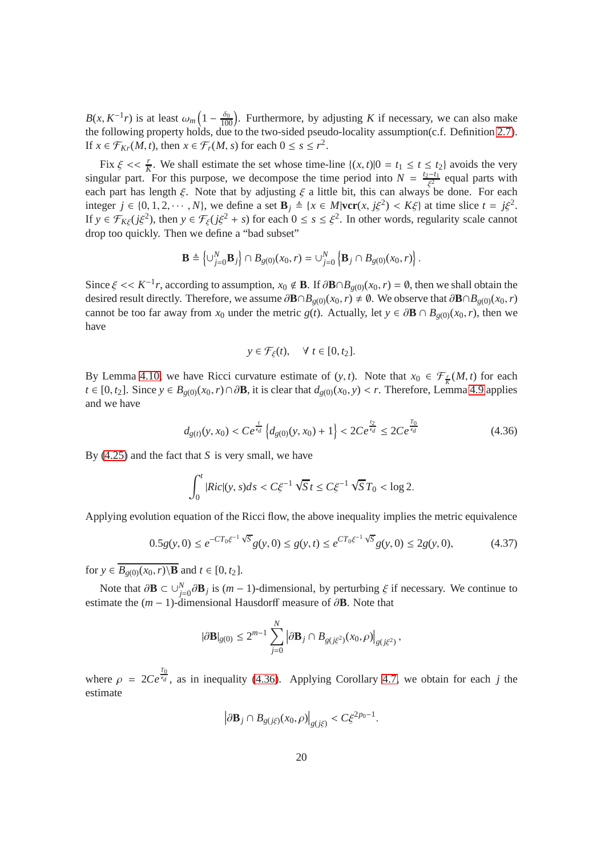$B(x, K^{-1}r)$  is at least  $\omega_m\left(1-\frac{\delta_0}{100}\right)$ . Furthermore, by adjusting *K* if necessary, we can also make the following property holds, due to the two-sided pseudo-locality assumption(c.f. Definition [2.7\)](#page-7-1). If  $x \in \mathcal{F}_{Kr}(M, t)$ , then  $x \in \mathcal{F}_r(M, s)$  for each  $0 \le s \le r^2$ .

Fix  $\xi \ll \frac{r}{K}$ . We shall estimate the set whose time-line  $\{(x, t)|0 = t_1 \le t \le t_2\}$  avoids the very singular part. For this purpose, we decompose the time period into  $N = \frac{t_2 - t_1}{\xi^2}$  equal parts with each part has length  $\xi$ . Note that by adjusting  $\xi$  a little bit, this can always be done. For each integer  $j \in \{0, 1, 2, \dots, N\}$ , we define a set  $\mathbf{B}_j \triangleq \{x \in M | \text{ver}(x, j\xi^2) < K\xi \}$  at time slice  $t = j\xi^2$ . If  $y \in \mathcal{F}_{K\xi}(j\xi^2)$ , then  $y \in \mathcal{F}_{\xi}(j\xi^2 + s)$  for each  $0 \le s \le \xi^2$ . In other words, regularity scale cannot drop too quickly. Then we define a "bad subset"

$$
\mathbf{B} \triangleq \left\{ \cup_{j=0}^N \mathbf{B}_j \right\} \cap B_{g(0)}(x_0, r) = \cup_{j=0}^N \left\{ \mathbf{B}_j \cap B_{g(0)}(x_0, r) \right\}.
$$

Since  $\xi \ll K^{-1}r$ , according to assumption,  $x_0 \notin \mathbf{B}$ . If  $\partial \mathbf{B} \cap B_{g(0)}(x_0, r) = \emptyset$ , then we shall obtain the desired result directly. Therefore, we assume  $\partial \mathbf{B} \cap B_{g(0)}(x_0, r) \neq \emptyset$ . We observe that  $\partial \mathbf{B} \cap B_{g(0)}(x_0, r)$ cannot be too far away from *x*<sub>0</sub> under the metric *g*(*t*). Actually, let  $y \in \partial \mathbf{B} \cap B_{g(0)}(x_0, r)$ , then we have

<span id="page-19-0"></span>
$$
y \in \mathcal{F}_{\xi}(t), \quad \forall \ t \in [0, t_2].
$$

By Lemma [4.10,](#page-16-1) we have Ricci curvature estimate of  $(y, t)$ . Note that  $x_0 \in \mathcal{F}_{\frac{r}{K}}(M, t)$  for each *t* ∈ [0, *t*<sub>2</sub>]. Since  $y \text{ } \in B_{g(0)}(x_0, r) \cap \partial \mathbf{B}$ , it is clear that  $d_{g(0)}(x_0, y) < r$ . Therefore, Lemma [4.9](#page-14-0) applies and we have

$$
d_{g(t)}(y, x_0) < Ce^{\frac{t}{\epsilon_d}} \left\{ d_{g(0)}(y, x_0) + 1 \right\} < 2Ce^{\frac{t_2}{\epsilon_d}} \le 2Ce^{\frac{T_0}{\epsilon_d}} \tag{4.36}
$$

By [\(4.25\)](#page-16-1) and the fact that *S* is very small, we have

$$
\int_0^t |Ric|(y,s)ds < C\xi^{-1}\sqrt{S}t \le C\xi^{-1}\sqrt{S}T_0 < \log 2.
$$

Applying evolution equation of the Ricci flow, the above inequality implies the metric equivalence

$$
0.5g(y,0) \le e^{-CT_0\xi^{-1}\sqrt{S}}g(y,0) \le g(y,t) \le e^{CT_0\xi^{-1}\sqrt{S}}g(y,0) \le 2g(y,0),\tag{4.37}
$$

for  $y \in \overline{B_{g(0)}(x_0, r) \setminus \mathbf{B}}$  and  $t \in [0, t_2]$ .

Note that  $\partial \mathbf{B} \subset \bigcup_{j=0}^{N} \partial \mathbf{B}_j$  is  $(m-1)$ -dimensional, by perturbing  $\xi$  if necessary. We continue to estimate the  $(m - 1)$ -dimensional Hausdorff measure of  $\partial$ **B**. Note that

$$
|\partial \mathbf{B}|_{g(0)} \leq 2^{m-1} \sum_{j=0}^N \left| \partial \mathbf{B}_j \cap B_{g(j\xi^2)}(x_0,\rho) \right|_{g(j\xi^2)},
$$

where  $\rho = 2Ce^{\frac{T_0}{\epsilon_d}}$ , as in inequality [\(4.36\)](#page-19-0). Applying Corollary [4.7,](#page-14-2) we obtain for each *j* the estimate

$$
\left|\partial\mathbf{B}_j\cap B_{g(j\xi)}(x_0,\rho)\right|_{g(j\xi)} < C\xi^{2p_0-1}
$$

<span id="page-19-1"></span>.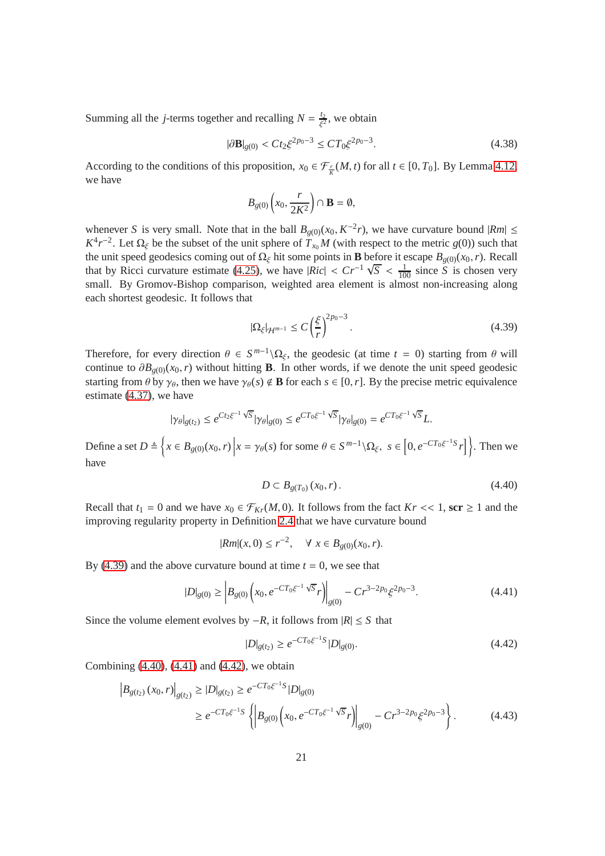Summing all the *j*-terms together and recalling  $N = \frac{t_2}{c^2}$  $\frac{t_2}{\xi^2}$ , we obtain

$$
|\partial \mathbf{B}|_{g(0)} < Ct_2 \xi^{2p_0 - 3} \le CT_0 \xi^{2p_0 - 3}.\tag{4.38}
$$

According to the conditions of this proposition,  $x_0 \in \mathcal{F}_k^r(M, t)$  for all  $t \in [0, T_0]$ . By Lemma [4.12,](#page-17-4) we have

<span id="page-20-5"></span>
$$
B_{g(0)}\left(x_0, \frac{r}{2K^2}\right) \cap \mathbf{B} = \emptyset,
$$

whenever *S* is very small. Note that in the ball  $B_{g(0)}(x_0, K^{-2}r)$ , we have curvature bound  $|Rm| \le$  $K^4 r^{-2}$ . Let  $\Omega_\xi$  be the subset of the unit sphere of  $T_{x_0} M$  (with respect to the metric *g*(0)) such that the unit speed geodesics coming out of  $\Omega_{\xi}$  hit some points in **B** before it escape  $B_{g(0)}(x_0, r)$ . Recall that by Ricci curvature estimate [\(4.25\)](#page-16-1), we have  $|Ric| < Cr^{-1}\sqrt{S} < \frac{1}{100}$  since *S* is chosen very small. By Gromov-Bishop comparison, weighted area element is almost non-increasing along each shortest geodesic. It follows that

<span id="page-20-0"></span>
$$
|\Omega_{\xi}|_{\mathcal{H}^{m-1}} \le C \left(\frac{\xi}{r}\right)^{2p_0 - 3}.\tag{4.39}
$$

Therefore, for every direction  $\theta \in S^{m-1} \setminus \Omega_{\xi}$ , the geodesic (at time  $t = 0$ ) starting from  $\theta$  will continue to  $\partial B_{g(0)}(x_0, r)$  without hitting **B**. In other words, if we denote the unit speed geodesic starting from  $\theta$  by  $\gamma_{\theta}$ , then we have  $\gamma_{\theta}(s) \notin \mathbf{B}$  for each  $s \in [0, r]$ . By the precise metric equivalence estimate [\(4.37\)](#page-19-1), we have

$$
|\gamma_{\theta}|_{g(t_2)} \le e^{Ct_2\xi^{-1}\sqrt{S}} |\gamma_{\theta}|_{g(0)} \le e^{CT_0\xi^{-1}\sqrt{S}} |\gamma_{\theta}|_{g(0)} = e^{CT_0\xi^{-1}\sqrt{S}} L.
$$
  

$$
D \triangleq \left\{ x \in B_{g(0)}(x_0, r) \big| x = \gamma_{\theta}(s) \text{ for some } \theta \in S^{m-1} \setminus \Omega_{\xi}, \ s \in \left[0, e^{-CT_0\xi^{-1}S} r\right] \right\}. \text{ Then } \nabla \cdot \nabla \cdot \nabla \cdot \nabla \cdot \nabla \cdot \nabla \cdot \nabla \cdot \nabla \cdot \nabla \cdot \nabla \cdot \nabla \cdot \nabla \cdot \nabla \cdot \nabla \cdot \nabla \cdot \nabla \cdot \nabla \cdot \nabla \cdot \nabla \cdot \nabla \cdot \nabla \cdot \nabla \cdot \nabla \cdot \nabla \cdot \nabla \cdot \nabla \cdot \nabla \cdot \nabla \cdot \nabla \cdot \nabla \cdot \nabla \cdot \nabla \cdot \nabla \cdot \nabla \cdot \nabla \cdot \nabla \cdot \nabla \cdot \nabla \cdot \nabla \cdot \nabla \cdot \nabla \cdot \nabla \cdot \nabla \cdot \nabla \cdot \nabla \cdot \nabla \cdot \nabla \cdot \nabla \cdot \nabla \cdot \nabla \cdot \nabla \cdot \nabla \cdot \nabla \cdot \nabla \cdot \nabla \cdot \nabla \cdot \nabla \cdot \nabla \cdot \nabla \cdot \nabla \cdot \nabla \cdot \nabla \cdot \nabla \cdot \nabla \cdot \nabla \cdot \nabla \cdot \nabla \cdot \nabla \cdot \nabla \cdot \nabla \cdot \nabla \cdot \nabla \cdot \nabla \cdot \nabla \cdot \nabla \cdot \nabla \cdot \nabla \cdot \nabla \cdot \nabla \cdot \nabla \cdot \nabla \cdot \nabla \cdot \nabla \cdot \nabla \cdot \nabla \cdot \nabla \cdot \nabla \cdot \nabla \cdot \nabla \cdot \nabla \cdot \nabla \cdot \nabla \cdot \nabla \cdot \nabla \cdot \nabla \cdot
$$

Define a set *D*  $\left\{ x \in B_{g(0)}(x_0, r) \right\}$  $x = \gamma_{\theta}(s)$  for some  $\theta \in S$  $\setminus \Omega_{\xi}, s \in [0, e^{-CT_0\xi^{-1}S}r]$ we have

<span id="page-20-1"></span>
$$
D \subset B_{g(T_0)}(x_0, r). \tag{4.40}
$$

Recall that  $t_1 = 0$  and we have  $x_0 \in \mathcal{F}_{Kr}(M, 0)$ . It follows from the fact  $Kr \ll 1$ , scr  $\geq 1$  and the improving regularity property in Definition [2.4](#page-6-0) that we have curvature bound

$$
|Rm|(x,0) \le r^{-2}, \quad \forall \ x \in B_{g(0)}(x_0,r).
$$

By [\(4.39\)](#page-20-0) and the above curvature bound at time  $t = 0$ , we see that

$$
|D|_{g(0)} \ge \left| B_{g(0)} \left( x_0, e^{-CT_0 \xi^{-1} \sqrt{S}} r \right) \right|_{g(0)} - C r^{3-2p_0} \xi^{2p_0 - 3}.
$$
 (4.41)

Since the volume element evolves by  $-R$ , it follows from  $|R|$  ≤ *S* that

<span id="page-20-4"></span><span id="page-20-3"></span><span id="page-20-2"></span>
$$
|D|_{g(t_2)} \ge e^{-CT_0\xi^{-1}S} |D|_{g(0)}.
$$
\n(4.42)

Combining [\(4.40\)](#page-20-1), [\(4.41\)](#page-20-2) and [\(4.42\)](#page-20-3), we obtain

$$
\left| B_{g(t_2)}(x_0, r) \right|_{g(t_2)} \ge |D|_{g(t_2)} \ge e^{-CT_0\xi^{-1}S} |D|_{g(0)}
$$
  
 
$$
\ge e^{-CT_0\xi^{-1}S} \left\{ \left| B_{g(0)} \left( x_0, e^{-CT_0\xi^{-1}\sqrt{S}} r \right) \right|_{g(0)} - C r^{3-2p_0} \xi^{2p_0 - 3} \right\}. \tag{4.43}
$$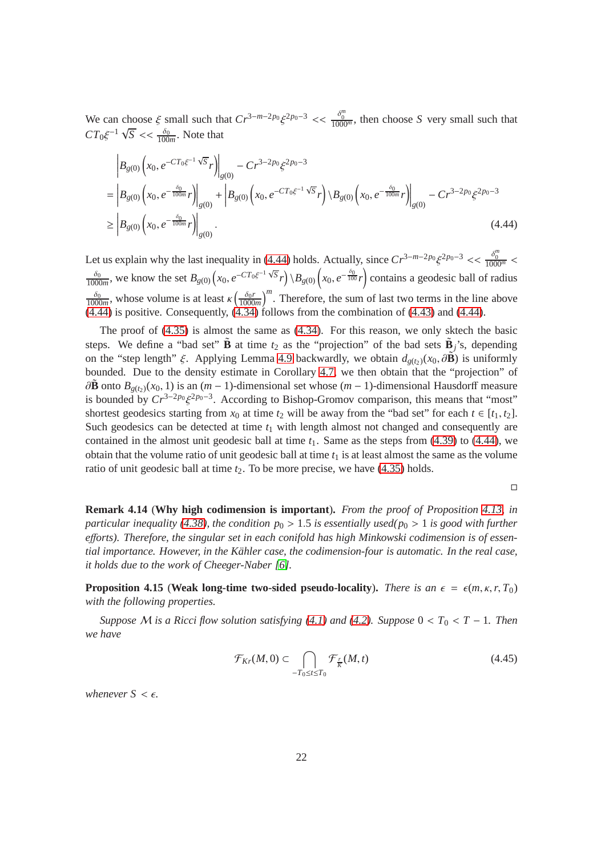We can choose  $\xi$  small such that  $Cr^{3-m-2p_0}\xi^{2p_0-3} << \frac{\delta_0^m}{1000^m}$ , then choose *S* very small such that  $CT_0 \xi^{-1} \sqrt{S} \ll \frac{\delta_0}{100m}$ . Note that

$$
\begin{split} & \left| B_{g(0)} \left( x_0, e^{-CT_0 \xi^{-1} \sqrt{S}} r \right) \right|_{g(0)} - C r^{3-2p_0} \xi^{2p_0 - 3} \\ &= \left| B_{g(0)} \left( x_0, e^{-\frac{\delta_0}{100m}} r \right) \right|_{g(0)} + \left| B_{g(0)} \left( x_0, e^{-CT_0 \xi^{-1} \sqrt{S}} r \right) \backslash B_{g(0)} \left( x_0, e^{-\frac{\delta_0}{100m}} r \right) \right|_{g(0)} - C r^{3-2p_0} \xi^{2p_0 - 3} \\ &\ge \left| B_{g(0)} \left( x_0, e^{-\frac{\delta_0}{100m}} r \right) \right|_{g(0)}. \end{split} \tag{4.44}
$$

Let us explain why the last inequality in [\(4.44\)](#page-21-2) holds. Actually, since  $Cr^{3-m-2p_0} \xi^{2p_0-3} \ll \frac{\delta_0^m}{1000^m}$  $\delta_0$  $\frac{\delta_0}{1000m}$ , we know the set  $B_{g(0)}(x_0, e^{-CT_0\xi^{-1}\sqrt{S}}r) \ B_{g(0)}(x_0, e^{-\frac{\delta_0}{100}}r)$  contains a geodesic ball of radius  $\delta_0$  $\frac{\delta_0}{1000m}$ , whose volume is at least  $\kappa \left( \frac{\delta_0 r}{1000} \right)$  $\frac{\delta_0 r}{1000 m}$ <sup>m</sup>. Therefore, the sum of last two terms in the line above  $(4.44)$  is positive. Consequently,  $(4.34)$  follows from the combination of  $(4.43)$  and  $(4.44)$ .

The proof of [\(4.35\)](#page-18-1) is almost the same as [\(4.34\)](#page-18-0). For this reason, we only sktech the basic steps. We define a "bad set"  $\tilde{\mathbf{B}}$  at time  $t_2$  as the "projection" of the bad sets  $\tilde{\mathbf{B}}_j$ 's, depending on the "step length"  $\xi$ . Applying Lemma [4.9](#page-14-0) backwardly, we obtain  $d_{g(t_2)}(x_0, \partial \mathbf{\hat{B}})$  is uniformly bounded. Due to the density estimate in Corollary [4.7,](#page-14-2) we then obtain that the "projection" of  $\partial \mathbf{\tilde{B}}$  onto  $B_{g(t_2)}(x_0, 1)$  is an  $(m-1)$ -dimensional set whose  $(m-1)$ -dimensional Hausdorff measure is bounded by  $Cr^{3-2p_0}\xi^{2p_0-3}$ . According to Bishop-Gromov comparison, this means that "most" shortest geodesics starting from  $x_0$  at time  $t_2$  will be away from the "bad set" for each  $t \in [t_1, t_2]$ . Such geodesics can be detected at time  $t_1$  with length almost not changed and consequently are contained in the almost unit geodesic ball at time *t*1. Same as the steps from [\(4.39\)](#page-20-0) to [\(4.44\)](#page-21-2), we obtain that the volume ratio of unit geodesic ball at time  $t_1$  is at least almost the same as the volume ratio of unit geodesic ball at time  $t_2$ . To be more precise, we have  $(4.35)$  holds.

<span id="page-21-2"></span><span id="page-21-0"></span> $\Box$ 

<span id="page-21-1"></span>**Remark 4.14** (**Why high codimension is important**)**.** *From the proof of Proposition [4.13,](#page-18-1) in particular inequality [\(4.38\)](#page-20-5), the condition*  $p_0 > 1.5$  *is essentially used(* $p_0 > 1$  *is good with further e*ff*orts). Therefore, the singular set in each conifold has high Minkowski codimension is of essential importance. However, in the K¨ahler case, the codimension-four is automatic. In the real case, it holds due to the work of Cheeger-Naber [\[6\]](#page-27-5).*

**Proposition 4.15** (Weak long-time two-sided pseudo-locality). *There is an*  $\epsilon = \epsilon(m, \kappa, r, T_0)$ *with the following properties.*

*Suppose M is a Ricci flow solution satisfying* [\(4.1\)](#page-9-1) *and* [\(4.2\)](#page-9-0)*. Suppose*  $0 < T_0 < T - 1$ *. Then we have*

$$
\mathcal{F}_{Kr}(M,0) \subset \bigcap_{-T_0 \le t \le T_0} \mathcal{F}_{\overline{K}}(M,t) \tag{4.45}
$$

*whenever*  $S \leq \epsilon$ *.*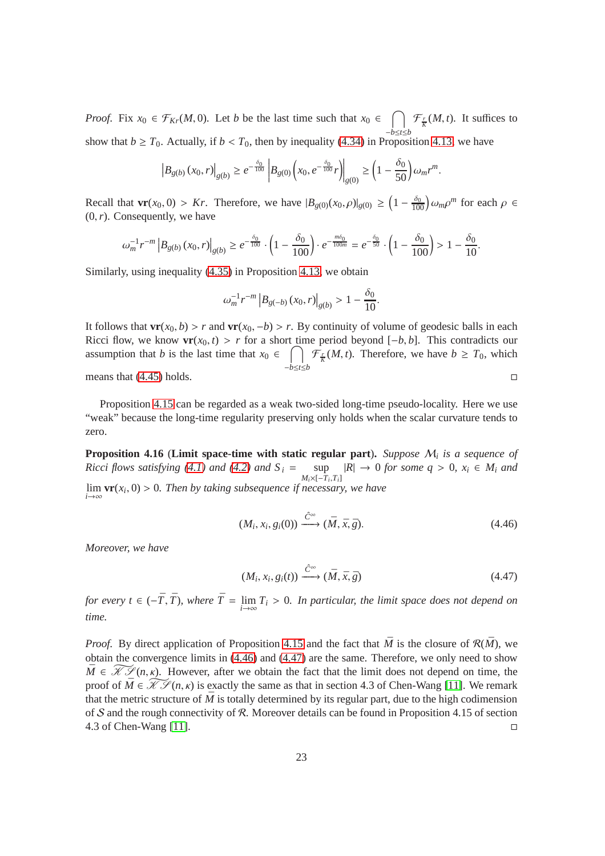*Proof.* Fix  $x_0 \in \mathcal{F}_{Kr}(M, 0)$ . Let *b* be the last time such that  $x_0 \in \bigcap \mathcal{F}_{\overline{K}}(M, t)$ . It suffices to show that *b*  $\geq T_0$ . Actually, if *b* < *T*<sub>0</sub>, then by inequality [\(4.34\)](#page-18-0) in Proposition [4.13,](#page-18-1) we have

$$
\left|B_{g(b)}(x_0,r)\right|_{g(b)} \geq e^{-\frac{\delta_0}{100}} \left|B_{g(0)}(x_0, e^{-\frac{\delta_0}{100}}r)\right|_{g(0)} \geq \left(1 - \frac{\delta_0}{50}\right) \omega_m r^m.
$$

Recall that  $\mathbf{vr}(x_0, 0) > Kr$ . Therefore, we have  $|B_{g(0)}(x_0, \rho)|_{g(0)} \geq \left(1 - \frac{\delta_0}{100}\right) \omega_m \rho^m$  for each  $\rho \in$  $(0, r)$ . Consequently, we have

$$
\omega_m^{-1} r^{-m} \left| B_{g(b)}(x_0, r) \right|_{g(b)} \ge e^{-\frac{\delta_0}{100}} \cdot \left( 1 - \frac{\delta_0}{100} \right) \cdot e^{-\frac{m\delta_0}{100m}} = e^{-\frac{\delta_0}{50}} \cdot \left( 1 - \frac{\delta_0}{100} \right) > 1 - \frac{\delta_0}{10}.
$$

Similarly, using inequality [\(4.35\)](#page-18-1) in Proposition [4.13,](#page-18-1) we obtain

$$
\omega_m^{-1} r^{-m} \left| B_{g(-b)}(x_0, r) \right|_{g(b)} > 1 - \frac{\delta_0}{10}.
$$

It follows that  $\mathbf{vr}(x_0, b) > r$  and  $\mathbf{vr}(x_0, -b) > r$ . By continuity of volume of geodesic balls in each Ricci flow, we know  $\mathbf{vr}(x_0, t) > r$  for a short time period beyond  $[-b, b]$ . This contradicts our assumption that *b* is the last time that  $x_0 \in \bigcap$ −*b*≤*t*≤*b*  $\mathcal{F}_{\overline{K}}(M, t)$ . Therefore, we have  $b \geq T_0$ , which means that  $(4.45)$  holds.

Proposition [4.15](#page-21-0) can be regarded as a weak two-sided long-time pseudo-locality. Here we use "weak" because the long-time regularity preserving only holds when the scalar curvature tends to zero.

**Proposition 4.16** (**Limit space-time with static regular part**)**.** *Suppose* M*<sup>i</sup> is a sequence of Ricci flows satisfying* [\(4.1\)](#page-9-1) *and* [\(4.2\)](#page-9-0) *and*  $S_i$  = sup  $\sup_{M_i \times [-T_i, T_i]} |R| \to 0$  *for some q* > 0*, x<sub>i</sub>* ∈ *M<sub>i</sub> and M<sub>i</sub>*×[-*T<sub>i</sub>*,*T<sub>i</sub>*] lim *i*→∞  $\mathbf{v}(\mathbf{x}_i, 0) > 0$ . Then by taking subsequence if necessary, we have

$$
(M_i, x_i, g_i(0)) \xrightarrow{\hat{C}^{\infty}} (\bar{M}, \bar{x}, \bar{g}).
$$
\n(4.46)

*Moreover, we have*

$$
(M_i, x_i, g_i(t)) \xrightarrow{\hat{C}^{\infty}} (\bar{M}, \bar{x}, \bar{g})
$$
\n(4.47)

*for every t*  $\in$   $(-\overline{T}, \overline{T})$ *, where*  $\overline{T} = \lim_{i \to \infty}$ *T<sup>i</sup>* > 0*. In particular, the limit space does not depend on time.*

*Proof.* By direct application of Proposition [4.15](#page-21-0) and the fact that  $\overline{M}$  is the closure of  $\mathcal{R}(\overline{M})$ , we obtain the convergence limits in [\(4.46\)](#page-22-0) and [\(4.47\)](#page-22-1) are the same. Therefore, we only need to show  $\overline{M} \in \widetilde{\mathcal{KS}}(n, \kappa)$ . However, after we obtain the fact that the limit does not depend on time, the proof of  $\overline{M} \in \widetilde{\mathcal{KS}}(n, \kappa)$  is exactly the same as that in section 4.3 of Chen-Wang [\[11\]](#page-28-0). We remark that the metric structure of  $\overline{M}$  is totally determined by its regular part, due to the high codimension of S and the rough connectivity of R. Moreover details can be found in Proposition 4.15 of section 4.3 of Chen-Wang [11]. 4.3 of Chen-Wang [\[11\]](#page-28-0).

<span id="page-22-1"></span><span id="page-22-0"></span>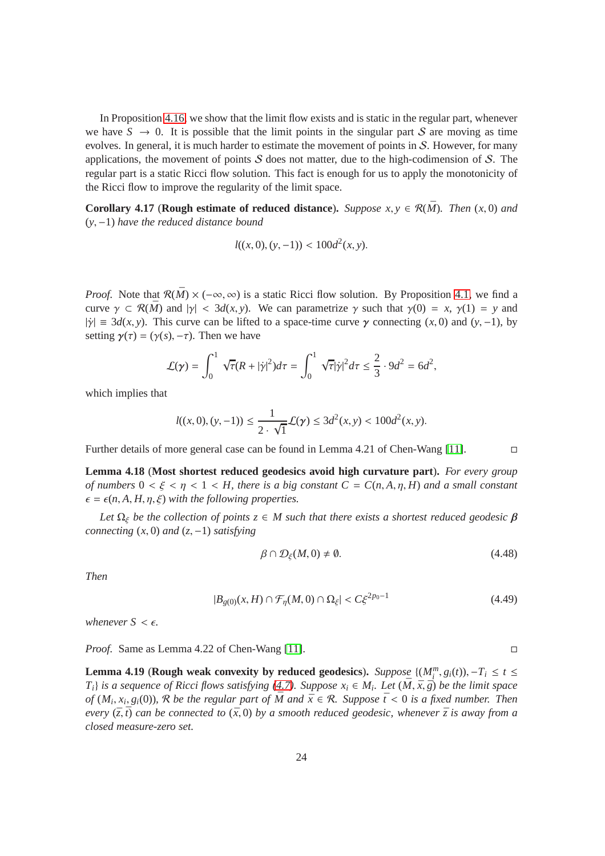In Proposition [4.16,](#page-22-1) we show that the limit flow exists and is static in the regular part, whenever we have  $S \to 0$ . It is possible that the limit points in the singular part S are moving as time evolves. In general, it is much harder to estimate the movement of points in S. However, for many applications, the movement of points  $S$  does not matter, due to the high-codimension of  $S$ . The regular part is a static Ricci flow solution. This fact is enough for us to apply the monotonicity of the Ricci flow to improve the regularity of the limit space.

**Corollary 4.17** (**Rough estimate of reduced distance**). *Suppose x, y*  $\in \mathcal{R}(\overline{M})$ . *Then* (*x*, 0) *and* (*y*, −1) *have the reduced distance bound*

$$
l((x,0),(y,-1)) < 100d^2(x,y).
$$

*Proof.* Note that  $\mathcal{R}(\bar{M}) \times (-\infty, \infty)$  is a static Ricci flow solution. By Proposition [4.1,](#page-10-0) we find a curve  $\gamma \subset \mathcal{R}(\bar{M})$  and  $|\gamma| < 3d(x, y)$ . We can parametrize  $\gamma$  such that  $\gamma(0) = x$ ,  $\gamma(1) = y$  and  $|\dot{\gamma}| \equiv 3d(x, y)$ . This curve can be lifted to a space-time curve  $\gamma$  connecting  $(x, 0)$  and  $(y, -1)$ , by setting  $\gamma(\tau) = (\gamma(s), -\tau)$ . Then we have

$$
\mathcal{L}(\gamma) = \int_0^1 \sqrt{\tau} (R + |\dot{\gamma}|^2) d\tau = \int_0^1 \sqrt{\tau} |\dot{\gamma}|^2 d\tau \leq \frac{2}{3} \cdot 9d^2 = 6d^2,
$$

which implies that

$$
l((x,0),(y,-1)) \le \frac{1}{2 \cdot \sqrt{1}} \mathcal{L}(\gamma) \le 3d^2(x,y) < 100d^2(x,y).
$$

Further details of more general case can be found in Lemma 4.21 of Chen-Wang [\[11\]](#page-28-0).

**Lemma 4.18** (**Most shortest reduced geodesics avoid high curvature part**)**.** *For every group of numbers*  $0 < \xi < \eta < 1 < H$ , there is a big constant  $C = C(n, A, \eta, H)$  and a small constant  $\epsilon = \epsilon(n, A, H, \eta, \xi)$  *with the following properties.* 

Let  $\Omega_{\xi}$  be the collection of points  $z \in M$  such that there exists a shortest reduced geodesic  $\beta$ *connecting* (*x*, 0) *and* (*z*, −1) *satisfying*

$$
\beta \cap \mathcal{D}_{\xi}(M,0) \neq \emptyset. \tag{4.48}
$$

*Then*

$$
|B_{g(0)}(x,H)\cap \mathcal{F}_{\eta}(M,0)\cap \Omega_{\xi}| < C\xi^{2p_0-1}
$$
\n(4.49)

*whenever*  $S \leq \epsilon$ *.* 

<span id="page-23-1"></span>*Proof.* Same as Lemma 4.22 of Chen-Wang [\[11\]](#page-28-0). □

**Lemma 4.19** (**Rough weak convexity by reduced geodesics**). *Suppose*  $\{(M_i^m, g_i(t)), -T_i \le t \le T_i\}$ *T*<sub>*i*</sub>} *is a sequence of Ricci flows satisfying [\(4.7\)](#page-10-2). Suppose*  $x_i \in M_i$ *. Let*  $(\overline{M}, \overline{x}, \overline{g})$  *be the limit space of*  $(M_i, x_i, g_i(0))$ , R *be the regular part of*  $\overline{M}$  *and*  $\overline{x} \in R$ *. Suppose*  $\overline{t} < 0$  *is a fixed number. Then every*  $(\bar{z}, \bar{t})$  *can be connected to*  $(\bar{x}, 0)$  *by a smooth reduced geodesic, whenever*  $\bar{z}$  *is away from a closed measure-zero set.*

<span id="page-23-0"></span>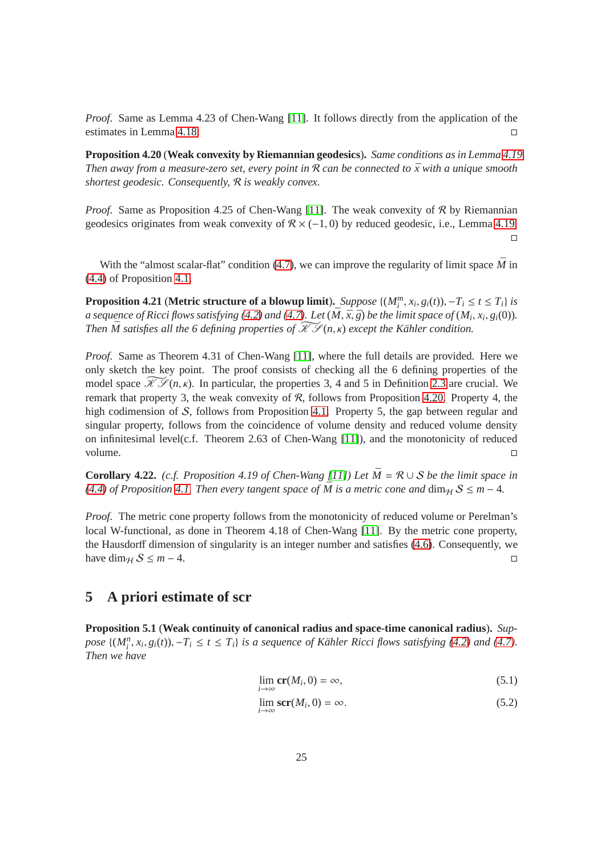*Proof.* Same as Lemma 4.23 of Chen-Wang [\[11\]](#page-28-0). It follows directly from the application of the estimates in Lemma [4.18.](#page-23-0)

<span id="page-24-1"></span>**Proposition 4.20** (**Weak convexity by Riemannian geodesics**)**.** *Same conditions as in Lemma [4.19.](#page-23-1) Then away from a measure-zero set, every point in*  $\mathcal R$  *can be connected to*  $\bar{x}$  *with a unique smooth shortest geodesic. Consequently,* R *is weakly convex.*

*Proof.* Same as Proposition 4.25 of Chen-Wang [\[11\]](#page-28-0). The weak convexity of R by Riemannian geodesics originates from weak convexity of  $\mathcal{R} \times (-1,0)$  by reduced geodesic, i.e., Lemma [4.19.](#page-23-1)  $\Box$ 

<span id="page-24-3"></span>With the "almost scalar-flat" condition [\(4.7\)](#page-10-2), we can improve the regularity of limit space  $\bar{M}$  in [\(4.4\)](#page-9-4) of Proposition [4.1.](#page-10-0)

**Proposition 4.21 (Metric structure of a blowup limit).** Suppose  $\{(M_i^m, x_i, g_i(t)), -T_i \le t \le T_i\}$  is *a sequence of Ricci flows satisfying* [\(4.2\)](#page-9-0) and [\(4.7\)](#page-10-2). Let  $(\bar{M}, \bar{x}, \bar{g})$  be the limit space of  $(M_i, x_i, g_i(0))$ . *Then*  $\overline{M}$  satisfies all the 6 defining properties of  $\overline{\mathcal{X}}\mathcal{L}(n,\kappa)$  except the Kähler condition.

*Proof.* Same as Theorem 4.31 of Chen-Wang [\[11\]](#page-28-0), where the full details are provided. Here we only sketch the key point. The proof consists of checking all the 6 defining properties of the model space  $\widetilde{\mathcal{KP}}(n,\kappa)$ . In particular, the properties 3, 4 and 5 in Definition [2.3](#page-5-2) are crucial. We remark that property 3, the weak convexity of  $R$ , follows from Proposition [4.20.](#page-24-1) Property 4, the high codimension of S, follows from Proposition [4.1.](#page-10-0) Property 5, the gap between regular and singular property, follows from the coincidence of volume density and reduced volume density on infinitesimal level(c.f. Theorem 2.63 of Chen-Wang [\[11\]](#page-28-0)), and the monotonicity of reduced volume.

<span id="page-24-4"></span>**Corollary 4.22.** *(c.f. Proposition 4.19 of Chen-Wang [\[11\]](#page-28-0)) Let*  $\overline{M} = \mathcal{R} \cup \mathcal{S}$  *be the limit space in [\(4.4\)](#page-9-4) of Proposition [4.1.](#page-10-0) Then every tangent space of*  $\overline{M}$  *is a metric cone and*  $\dim_{\mathcal{H}} S \leq m - 4$ *.* 

*Proof.* The metric cone property follows from the monotonicity of reduced volume or Perelman's local W-functional, as done in Theorem 4.18 of Chen-Wang [\[11\]](#page-28-0). By the metric cone property, the Hausdorff dimension of singularity is an integer number and satisfies [\(4.6\)](#page-10-0). Consequently, we have dim<sub>H</sub>  $S \leq m-4$ .

## **5 A priori estimate of scr**

**Proposition 5.1** (**Weak continuity of canonical radius and space-time canonical radius**)**.** *Sup*pose  $\{(M_i^n, x_i, g_i(t)), -T_i \le t \le T_i\}$  is a sequence of Kähler Ricci flows satisfying [\(4.2\)](#page-9-0) and [\(4.7\)](#page-10-2). *Then we have*

$$
\lim_{i \to \infty} \mathbf{cr}(M_i, 0) = \infty,\tag{5.1}
$$

<span id="page-24-2"></span><span id="page-24-0"></span>
$$
\lim_{i \to \infty} \text{scr}(M_i, 0) = \infty. \tag{5.2}
$$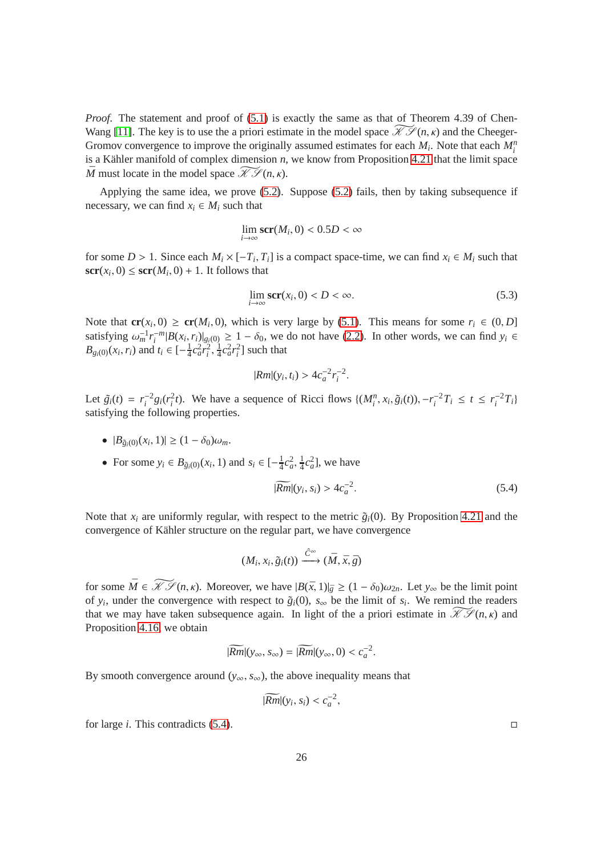*Proof.* The statement and proof of [\(5.1\)](#page-24-2) is exactly the same as that of Theorem 4.39 of Chen-Wang [\[11\]](#page-28-0). The key is to use the a priori estimate in the model space  $\widetilde{\mathcal{H}}(n, \kappa)$  and the Cheeger-Gromov convergence to improve the originally assumed estimates for each  $M_i$ . Note that each  $M_i^n$ is a Kähler manifold of complex dimension  $n$ , we know from Proposition [4.21](#page-24-3) that the limit space  $\overline{M}$  must locate in the model space  $\widetilde{\mathcal{KS}}(n, \kappa)$ .

Applying the same idea, we prove [\(5.2\)](#page-24-0). Suppose [\(5.2\)](#page-24-0) fails, then by taking subsequence if necessary, we can find  $x_i \in M_i$  such that

$$
\lim_{i \to \infty} \mathbf{scr}(M_i, 0) < 0.5D < \infty
$$

for some  $D > 1$ . Since each  $M_i \times [-T_i, T_i]$  is a compact space-time, we can find  $x_i \in M_i$  such that  $\mathbf{scr}(x_i, 0) \leq \mathbf{scr}(M_i, 0) + 1$ . It follows that

$$
\lim_{i \to \infty} \mathbf{scr}(x_i, 0) < D < \infty. \tag{5.3}
$$

Note that  $\mathbf{cr}(x_i, 0) \geq \mathbf{cr}(M_i, 0)$ , which is very large by [\(5.1\)](#page-24-2). This means for some  $r_i \in (0, D]$ satisfying  $\omega_m^{-1} r_i^{-m} |B(x_i, r_i)|_{g_i(0)} \geq 1 - \delta_0$ , we do not have [\(2.2\)](#page-7-1). In other words, we can find  $y_i \in$ *B*<sub>*gi*</sub>(0)(*x<sub>i</sub>*, *r<sub>i</sub>*) and *t*<sub>*i*</sub> ∈ [- $\frac{1}{4}$  $\frac{1}{4}c_a^2r_i^2, \frac{1}{4}$  $\frac{1}{4}c_a^2r_i^2$ ] such that

$$
|Rm|(y_i, t_i) > 4c_a^{-2}r_i^{-2}.
$$

Let  $\tilde{g}_i(t) = r_i^{-2} g_i(r_i^2 t)$ . We have a sequence of Ricci flows  $\{(M_i^n, x_i, \tilde{g}_i(t)), -r_i^{-2} T_i \le t \le r_i^{-2} T_i\}$ satisfying the following properties.

- $|B_{\tilde{g}_i(0)}(x_i, 1)| \geq (1 \delta_0)\omega_m$ .
- For some  $y_i \in B_{\tilde{g}_i(0)}(x_i, 1)$  and  $s_i \in [-\frac{1}{4}]$  $\frac{1}{4}c_a^2, \frac{1}{4}$  $\frac{1}{4}c_a^2$ , we have

<span id="page-25-0"></span>
$$
|\widetilde{Rm}|(y_i, s_i) > 4c_a^{-2}.\tag{5.4}
$$

Note that  $x_i$  are uniformly regular, with respect to the metric  $\tilde{g}_i(0)$ . By Proposition [4.21](#page-24-3) and the convergence of Kähler structure on the regular part, we have convergence

$$
(M_i, x_i, \tilde{g}_i(t)) \xrightarrow{\hat{C}^{\infty}} (\bar{M}, \bar{x}, \bar{g})
$$

for some  $\overline{M} \in \widetilde{\mathcal{KS}}(n, \kappa)$ . Moreover, we have  $|B(\overline{x}, 1)|_{\overline{g}} \ge (1 - \delta_0)\omega_{2n}$ . Let  $y_{\infty}$  be the limit point of *y<sub>i</sub>*, under the convergence with respect to  $\tilde{g}_i(0)$ ,  $s_\infty$  be the limit of  $s_i$ . We remind the readers that we may have taken subsequence again. In light of the a priori estimate in  $\widetilde{\mathcal{KS}}(n,\kappa)$  and Proposition [4.16,](#page-22-1) we obtain

$$
|\widetilde{Rm}|(y_{\infty}, s_{\infty}) = |\widetilde{Rm}|(y_{\infty}, 0) < c_a^{-2}.
$$

By smooth convergence around ( $y_{\infty}$ ,  $s_{\infty}$ ), the above inequality means that

$$
|\widetilde{Rm}|(y_i, s_i) < c_a^{-2},
$$

for large *i*. This contradicts [\(5.4\)](#page-25-0).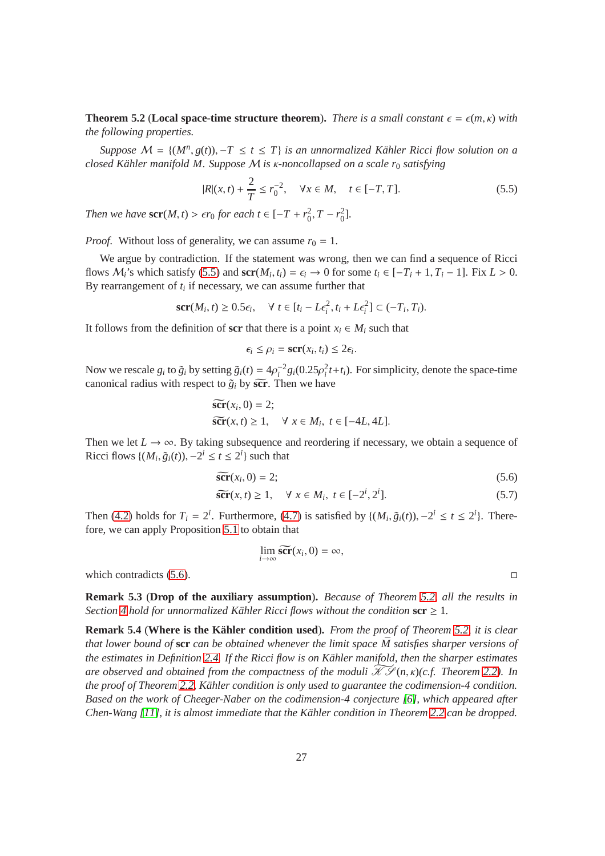**Theorem 5.2** (**Local space-time structure theorem**). *There is a small constant*  $\epsilon = \epsilon(m, \kappa)$  with *the following properties.*

*Suppose*  $M = \{(M^n, g(t)), -T \le t \le T\}$  *is an unnormalized Kähler Ricci flow solution on a closed K¨ahler manifold M. Suppose* M *is* κ*-noncollapsed on a scale r*<sup>0</sup> *satisfying*

<span id="page-26-2"></span>
$$
|R|(x,t) + \frac{2}{T} \le r_0^{-2}, \quad \forall x \in M, \quad t \in [-T, T].
$$
 (5.5)

*Then we have*  $\textbf{scr}(M, t) > \epsilon r_0$  *for each*  $t \in [-T + r_0^2, T - r_0^2]$ *.* 

*Proof.* Without loss of generality, we can assume  $r_0 = 1$ .

We argue by contradiction. If the statement was wrong, then we can find a sequence of Ricci flows  $M_i$ 's which satisfy [\(5.5\)](#page-26-2) and  $\text{scr}(M_i, t_i) = \epsilon_i \to 0$  for some  $t_i \in [-T_i + 1, T_i - 1]$ . Fix  $L > 0$ . By rearrangement of *t<sup>i</sup>* if necessary, we can assume further that

$$
\mathbf{scr}(M_i, t) \ge 0.5\epsilon_i, \quad \forall \ t \in [t_i - L\epsilon_i^2, t_i + L\epsilon_i^2] \subset (-T_i, T_i).
$$

It follows from the definition of **scr** that there is a point  $x_i \in M_i$  such that

$$
\epsilon_i \leq \rho_i = \mathbf{scr}(x_i, t_i) \leq 2\epsilon_i.
$$

Now we rescale  $g_i$  to  $\tilde{g}_i$  by setting  $\tilde{g}_i(t) = 4\rho_i^{-2} g_i(0.25\rho_i^2 t + t_i)$ . For simplicity, denote the space-time canonical radius with respect to  $\tilde{g}_i$  by  $\tilde{\textbf{scr}}$ . Then we have

$$
\widetilde{\mathbf{scr}}(x_i, 0) = 2; \n\widetilde{\mathbf{scr}}(x, t) \ge 1, \quad \forall \ x \in M_i, \ t \in [-4L, 4L].
$$

Then we let  $L \to \infty$ . By taking subsequence and reordering if necessary, we obtain a sequence of Ricci flows  $\{(M_i, \tilde{g}_i(t)), -2^i \le t \le 2^i\}$  such that

$$
\widetilde{\text{scr}}(x_i, 0) = 2; \tag{5.6}
$$

$$
\widetilde{\text{scr}}(x,t) \ge 1, \quad \forall \ x \in M_i, \ t \in [-2^i, 2^i]. \tag{5.7}
$$

Then [\(4.2\)](#page-9-0) holds for  $T_i = 2^i$ . Furthermore, [\(4.7\)](#page-10-2) is satisfied by  $\{(M_i, \tilde{g}_i(t)), -2^i \le t \le 2^i\}$ . Therefore, we can apply Proposition [5.1](#page-24-0) to obtain that

$$
\lim_{i\to\infty}\widetilde{\text{scr}}(x_i,0)=\infty,
$$

<span id="page-26-1"></span>which contradicts  $(5.6)$ .

**Remark 5.3** (**Drop of the auxiliary assumption**)**.** *Because of Theorem [5.2,](#page-26-2) all the results in Section* [4](#page-9-3) *hold for unnormalized Kähler Ricci flows without the condition*  $\text{scr} \geq 1$ *.* 

<span id="page-26-0"></span>**Remark 5.4** (**Where is the Kahler condition used ¨** )**.** *From the proof of Theorem [5.2,](#page-26-2) it is clear that lower bound of*  $\text{scr can be obtained whenever the limit space  $\overline{M}$  satisfies sharper versions of$ *the estimates in Definition [2.4.](#page-6-0) If the Ricci flow is on K¨ahler manifold, then the sharper estimates are observed and obtained from the compactness of the moduli*  $\mathscr{K}(\mathcal{F}(n, \kappa))$ *c.f. Theorem* [2.2\)](#page-5-1)*.* In *the proof of Theorem [2.2,](#page-5-1) K¨ahler condition is only used to guarantee the codimension-4 condition. Based on the work of Cheeger-Naber on the codimension-4 conjecture [\[6\]](#page-27-5), which appeared after Chen-Wang [\[11\]](#page-28-0), it is almost immediate that the K¨ahler condition in Theorem [2.2](#page-5-1) can be dropped.*

<span id="page-26-3"></span>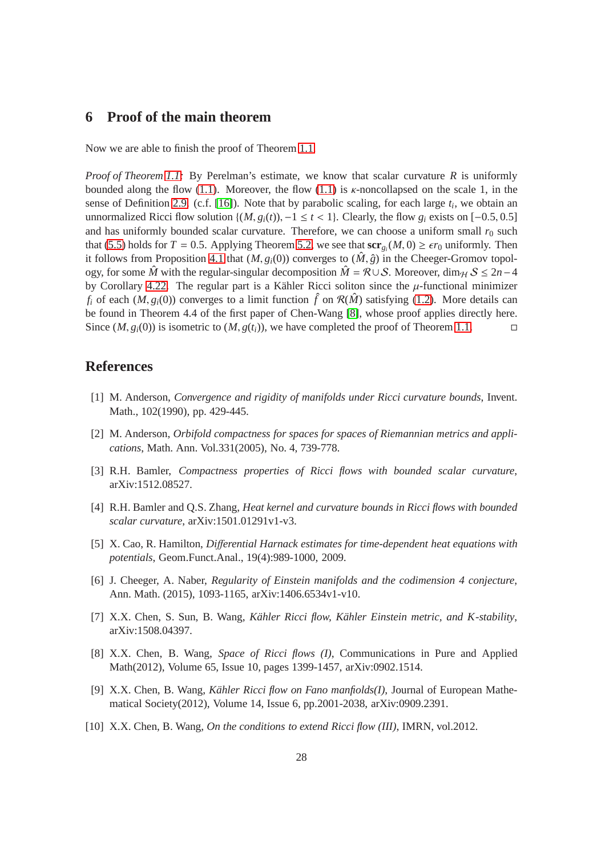## **6 Proof of the main theorem**

Now we are able to finish the proof of Theorem [1.1.](#page-0-0)

*Proof of Theorem [1.1:](#page-0-0)* By Perelman's estimate, we know that scalar curvature *R* is uniformly bounded along the flow [\(1.1\)](#page-0-2). Moreover, the flow [\(1.1\)](#page-0-2) is  $\kappa$ -noncollapsed on the scale 1, in the sense of Definition [2.9.](#page-7-2) (c.f. [\[16\]](#page-28-4)). Note that by parabolic scaling, for each large *t<sup>i</sup>* , we obtain an unnormalized Ricci flow solution  $\{(M, g_i(t))$ , −1 ≤ *t* < 1}. Clearly, the flow  $g_i$  exists on [−0.5, 0.5] and has uniformly bounded scalar curvature. Therefore, we can choose a uniform small  $r_0$  such that [\(5.5\)](#page-26-2) holds for  $T = 0.5$ . Applying Theorem [5.2,](#page-26-2) we see that  $\mathbf{scr}_{g_i}(M, 0) \ge \epsilon r_0$  uniformly. Then it follows from Proposition [4.1](#page-10-0) that  $(M, g_i(0))$  converges to  $(\hat{M}, \hat{g})$  in the Cheeger-Gromov topology, for some  $\hat{M}$  with the regular-singular decomposition  $\hat{M} = \mathcal{R} \cup \mathcal{S}$ . Moreover, dim<sub>H</sub>  $\mathcal{S} \leq 2n-4$ by Corollary [4.22.](#page-24-4) The regular part is a Kähler Ricci soliton since the  $\mu$ -functional minimizer *f<sub>i</sub>* of each  $(M, g_i(0))$  converges to a limit function  $\hat{f}$  on  $\mathcal{R}(\hat{M})$  satisfying [\(1.2\)](#page-0-0). More details can be found in Theorem 4.4 of the first paper of Chen-Wang [\[8\]](#page-27-3), whose proof applies directly here. Since  $(M, g_i(0))$  is isometric to  $(M, g(t_i))$ , we have completed the proof of Theorem [1.1.](#page-0-0)

### <span id="page-27-2"></span>**References**

- [1] M. Anderson, *Convergence and rigidity of manifolds under Ricci curvature bounds*, Invent. Math., 102(1990), pp. 429-445.
- <span id="page-27-6"></span><span id="page-27-4"></span>[2] M. Anderson, *Orbifold compactness for spaces for spaces of Riemannian metrics and applications*, Math. Ann. Vol.331(2005), No. 4, 739-778.
- <span id="page-27-7"></span>[3] R.H. Bamler, *Compactness properties of Ricci flows with bounded scalar curvature*, arXiv:1512.08527.
- <span id="page-27-8"></span>[4] R.H. Bamler and Q.S. Zhang, *Heat kernel and curvature bounds in Ricci flows with bounded scalar curvature*, arXiv:1501.01291v1-v3.
- <span id="page-27-5"></span>[5] X. Cao, R. Hamilton, *Di*ff*erential Harnack estimates for time-dependent heat equations with potentials*, Geom.Funct.Anal., 19(4):989-1000, 2009.
- [6] J. Cheeger, A. Naber, *Regularity of Einstein manifolds and the codimension 4 conjecture*, Ann. Math. (2015), 1093-1165, arXiv:1406.6534v1-v10.
- <span id="page-27-3"></span><span id="page-27-0"></span>[7] X.X. Chen, S. Sun, B. Wang, *Kähler Ricci flow, Kähler Einstein metric, and K-stability*, arXiv:1508.04397.
- [8] X.X. Chen, B. Wang, *Space of Ricci flows (I)*, Communications in Pure and Applied Math(2012), Volume 65, Issue 10, pages 1399-1457, arXiv:0902.1514.
- [9] X.X. Chen, B. Wang, *K¨ahler Ricci flow on Fano manfiolds(I)*, Journal of European Mathematical Society(2012), Volume 14, Issue 6, pp.2001-2038, arXiv:0909.2391.
- <span id="page-27-1"></span>[10] X.X. Chen, B. Wang, *On the conditions to extend Ricci flow (III)*, IMRN, vol.2012.